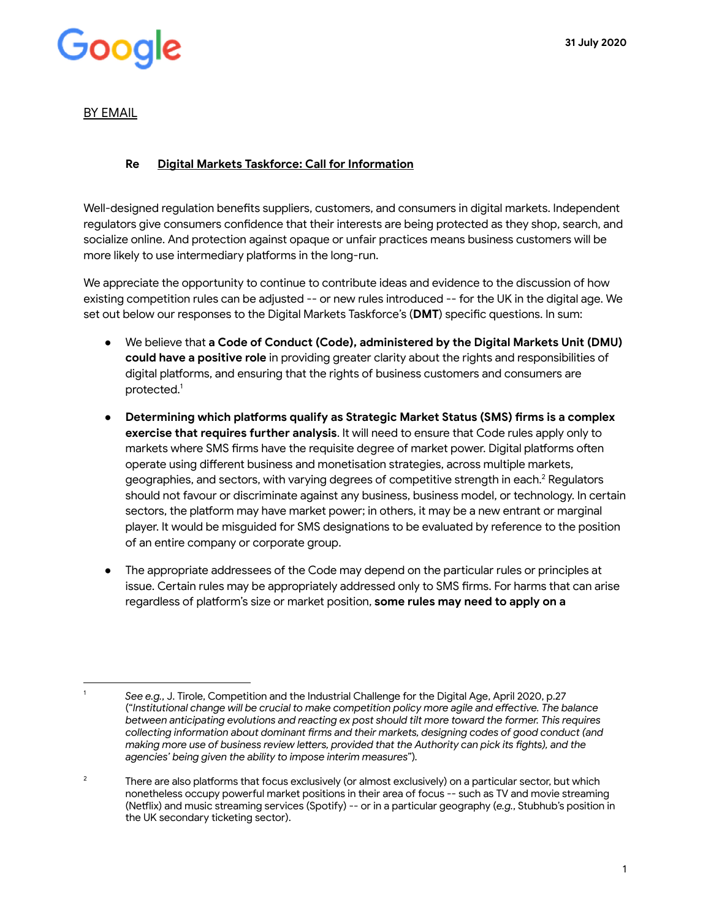### Good

#### BY EMAIL

#### **Re Digital Markets Taskforce: Call for Information**

Well-designed regulation benefits suppliers, customers, and consumers in digital markets. Independent regulators give consumers confidence that their interests are being protected as they shop, search, and socialize online. And protection against opaque or unfair practices means business customers will be more likely to use intermediary platforms in the long-run.

We appreciate the opportunity to continue to contribute ideas and evidence to the discussion of how existing competition rules can be adjusted -- or new rules introduced -- for the UK in the digital age. We set out below our responses to the Digital Markets Taskforce's (DMT) specific questions. In sum:

- We believe that **a Code of Conduct (Code), administered by the Digital Markets Unit (DMU) could have a positive role** in providing greater clarity about the rights and responsibilities of digital platforms, and ensuring that the rights of business customers and consumers are protected.<sup>1</sup>
- **Determining which platforms qualify as Strategic Market Status (SMS) firms is a complex exercise that requires further analysis.** It will need to ensure that Code rules apply only to markets where SMS firms have the requisite degree of market power. Digital platforms often operate using different business and monetisation strategies, across multiple markets, geographies, and sectors, with varying degrees of competitive strength in each.<sup>2</sup> Regulators should not favour or discriminate against any business, business model, or technology. In certain sectors, the platform may have market power; in others, it may be a new entrant or marginal player. It would be misguided for SMS designations to be evaluated by reference to the position of an entire company or corporate group.
- The appropriate addressees of the Code may depend on the particular rules or principles at issue. Certain rules may be appropriately addressed only to SMS firms. For harms that can arise regardless of platform's size or market position, **some rules may need to apply on a**

<sup>1</sup> *See e.g.* , J. Tirole, Competition and the Industrial Challenge for the Digital Age, April 2020, p.27 ("Institutional change will be crucial to make competition policy more agile and effective. The balance *between anticipating evolutions and reacting ex post should tilt more toward the former. This requires*  collecting information about dominant firms and their markets, designing codes of good conduct (and *making more use of business review letters, provided that the Authority can pick its fights), and the agencies' being given the ability to impose interim measures").* 

<sup>&</sup>lt;sup>2</sup> There are also platforms that focus exclusively (or almost exclusively) on a particular sector, but which nonetheless occupy powerful market positions in their area of focus -- such as TV and movie streaming (Netflix) and music streaming services (Spotify) -- or in a particular geography (e.g., Stubhub's position in the UK secondary ticketing sector).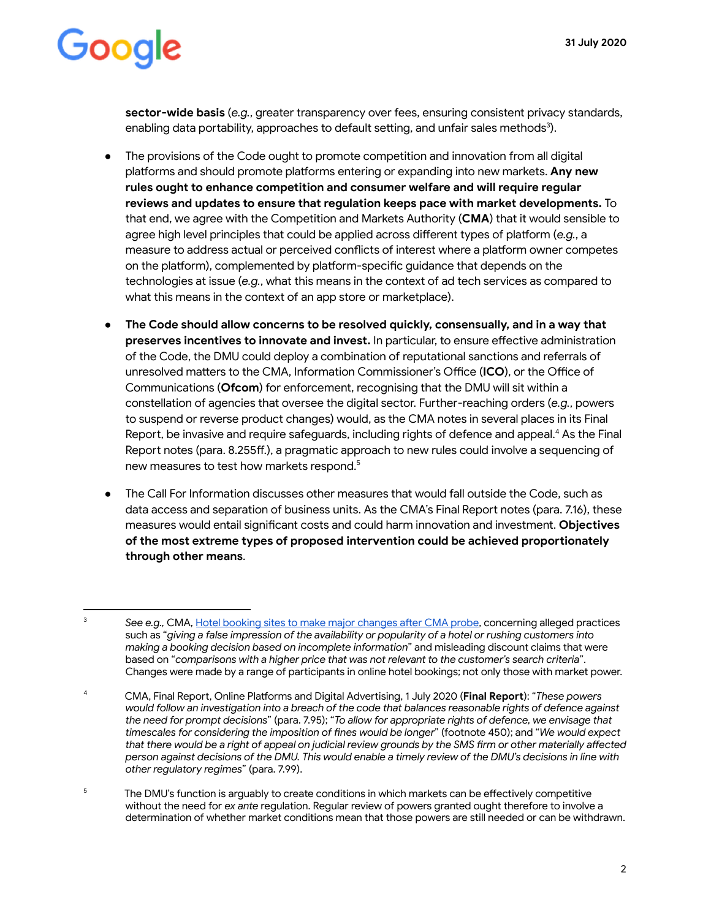**sector-wide basis** (*e.g.*, greater transparency over fees, ensuring consistent privacy standards, enabling data portability, approaches to default setting, and unfair sales methods<sup>3</sup>).

- The provisions of the Code ought to promote competition and innovation from all digital platforms and should promote platforms entering or expanding into new markets. Any new **rules ought to enhance competition and consumer welfare and will require regular reviews and updates to ensure that regulation keeps pace with market developments.** To that end, we agree with the Competition and Markets Authority ( **CMA** ) that it would sensible to agree high level principles that could be applied across different types of platform (e.g., a measure to address actual or perceived conflicts of interest where a platform owner competes on the platform), complemented by platform-specific quidance that depends on the technologies at issue (e.g., what this means in the context of ad tech services as compared to what this means in the context of an app store or marketplace).
- The Code should allow concerns to be resolved quickly, consensually, and in a way that **preserves incentives to innovate and invest.** In particular, to ensure effective administration of the Code, the DMU could deploy a combination of reputational sanctions and referrals of unresolved matters to the CMA, Information Commissioner's Office (ICO), or the Office of Communications ( **Ofcom** ) for enforcement, recognising that the DMU will sit within a constellation of agencies that oversee the digital sector. Further-reaching orders (e.g., powers to suspend or reverse product changes) would, as the CMA notes in several places in its Final Report, be invasive and require safeguards, including rights of defence and appeal.<sup>4</sup> As the Final Report notes (para. 8.255ff.), a pragmatic approach to new rules could involve a sequencing of new measures to test how markets respond.<sup>5</sup>
- The Call For Information discusses other measures that would fall outside the Code, such as data access and separation of business units. As the CMA's Final Report notes (para. 7.16), these measures would entail significant costs and could harm innovation and investment. Objectives of the most extreme types of proposed intervention could be achieved proportionately **through other means** .

5 The DMU's function is arguably to create conditions in which markets can be effectively competitive without the need for *ex ante* regulation. Regular review of powers granted ought therefore to involve a determination of whether market conditions mean that those powers are still needed or can be withdrawn.

See e.g., CMA, Hotel booking sites to make major changes after CMA probe, concerning alleged practices such as "giving a false impression of the availability or popularity of a hotel or rushing customers into *making a booking decision based on incomplete information* " and misleading discount claims that were based on " *comparisons with a higher price that was not relevant to the customer's search criteria* ". Changes were made by a range of participants in online hotel bookings; not only those with market power.

<sup>4</sup> CMA, Final Report, Online Platforms and Digital Advertising, 1 July 2020 (Final Report): "These powers *would follow an investigation into a breach of the code that balances reasonable rights of defence against the need for prompt decisions* " (para. 7.95); " *To allow for appropriate rights of defence, we envisage that timescales for considering the imposition of nes would be longer* " (footnote 450); and " *We would expect*  that there would be a right of appeal on judicial review grounds by the SMS firm or other materially affected *person against decisions of the DMU. This would enable a timely review of the DMU's decisions in line with other regulatory regimes* " (para. 7.99).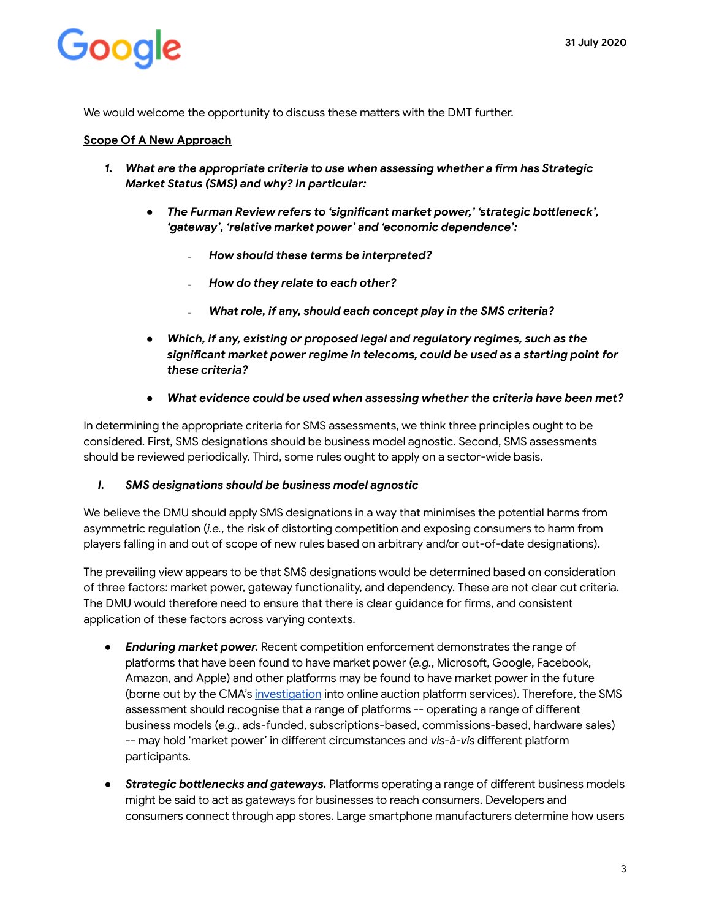We would welcome the opportunity to discuss these matters with the DMT further.

#### **Scope Of A New Approach**

- 1. What are the appropriate criteria to use when assessing whether a firm has Strategic *Market Status (SMS) and why? In particular:* 
	- **•** The Furman Review refers to 'significant market power,' 'strategic bottleneck', *'gateway', 'relative market power' and 'economic dependence':* 
		- *₋ How should these terms be interpreted?*
		- *₋ How do they relate to each other?*
		- What role, if any, should each concept play in the SMS criteria?
	- *● Which, if any, existing or proposed legal and regulatory regimes, such as the*  significant market power regime in telecoms, could be used as a starting point for *these criteria?*
	- *● What evidence could be used when assessing whether the criteria have been met?*

In determining the appropriate criteria for SMS assessments, we think three principles ought to be considered. First, SMS designations should be business model agnostic. Second, SMS assessments should be reviewed periodically. Third, some rules ought to apply on a sector-wide basis.

#### *I. SMS designations should be business model agnostic*

We believe the DMU should apply SMS designations in a way that minimises the potential harms from asymmetric regulation (*i.e.*, the risk of distorting competition and exposing consumers to harm from players falling in and out of scope of new rules based on arbitrary and/or out-of-date designations).

The prevailing view appears to be that SMS designations would be determined based on consideration of three factors: market power, gateway functionality, and dependency. These are not clear cut criteria. The DMU would therefore need to ensure that there is clear guidance for firms, and consistent application of these factors across varying contexts.

- *Enduring market power.* Recent competition enforcement demonstrates the range of platforms that have been found to have market power (e.g., Microsoft, Google, Facebook, Amazon, and Apple) and other platforms may be found to have market power in the future (borne out by the CMA's [investigation](https://assets.publishing.service.gov.uk/media/5954be5c40f0b60a44000092/auction-services-commitments-decision.pdf) into online auction platform services). Therefore, the SMS assessment should recognise that a range of platforms -- operating a range of different business models ( *e.g.* , ads-funded, subscriptions-based, commissions-based, hardware sales) -- may hold 'market power' in different circumstances and *vis-à-vis* different platform participants.
- **Strategic bottlenecks and gateways.** Platforms operating a range of different business models might be said to act as gateways for businesses to reach consumers. Developers and consumers connect through app stores. Large smartphone manufacturers determine how users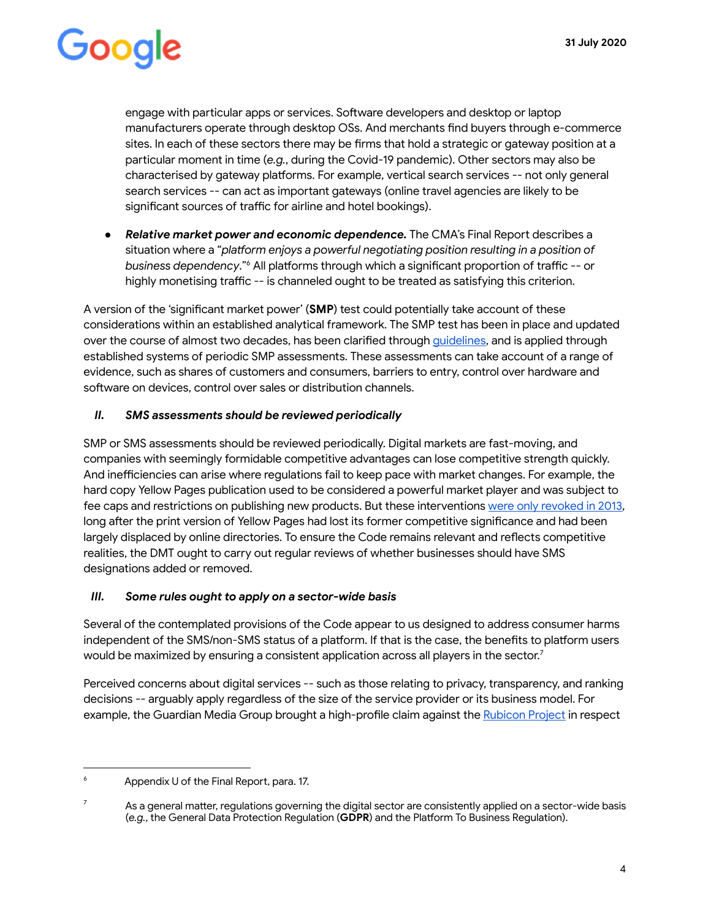engage with particular apps or services. Software developers and desktop or laptop manufacturers operate through desktop OSs. And merchants find buyers through e-commerce sites. In each of these sectors there may be firms that hold a strategic or gateway position at a particular moment in time (e.g., during the Covid-19 pandemic). Other sectors may also be characterised by gateway platforms. For example, vertical search services -- not only general search services -- can act as important gateways (online travel agencies are likely to be significant sources of traffic for airline and hotel bookings).

● **Relative market power and economic dependence.** The CMA's Final Report describes a situation where a "*platform enjoys a powerful negotiating position resulting in a position of business dependency.*"<sup>6</sup> All platforms through which a significant proportion of traffic -- or highly monetising traffic -- is channeled ought to be treated as satisfying this criterion.

A version of the 'significant market power' (**SMP**) test could potentially take account of these considerations within an established analytical framework. The SMP test has been in place and updated over the course of almost two decades, has been clarified through quidelines, and is applied through established systems of periodic SMP assessments. These assessments can take account of a range of evidence, such as shares of customers and consumers, barriers to entry, control over hardware and software on devices, control over sales or distribution channels.

#### *II. SMS assessments should be reviewed periodically*

SMP or SMS assessments should be reviewed periodically. Digital markets are fast-moving, and companies with seemingly formidable competitive advantages can lose competitive strength quickly. And inefficiencies can arise where regulations fail to keep pace with market changes. For example, the hard copy Yellow Pages publication used to be considered a powerful market player and was subject to fee caps and restrictions on publishing new products. But these interventions [were only revoked in 2013](https://webarchive.nationalarchives.gov.uk/20140402203202/http://www.competition-commission.org.uk/assets/competitioncommission/docs/2012/yellow-pages-undertakings-review/130315_final_decision_hibu_excised.pdf) , long after the print version of Yellow Pages had lost its former competitive significance and had been largely displaced by online directories. To ensure the Code remains relevant and reflects competitive realities, the DMT ought to carry out regular reviews of whether businesses should have SMS designations added or removed.

#### *III. Some rules ought to apply on a sector-wide basis*

Several of the contemplated provisions of the Code appear to us designed to address consumer harms independent of the SMS/non-SMS status of a platform. If that is the case, the benefits to platform users would be maximized by ensuring a consistent application across all players in the sector.<sup>7</sup>

Perceived concerns about digital services -- such as those relating to privacy, transparency, and ranking decisions -- arguably apply regardless of the size of the service provider or its business model. For example, the Guardian Media Group brought a high-profile claim against the [Rubicon Project](https://digiday.com/media/cheat-sheet-guardian-rubicon-project-lawsuit/) in respect

<sup>6</sup> Appendix U of the Final Report, para. 17.

<sup>7</sup> As a general matter, regulations governing the digital sector are consistently applied on a sector-wide basis (e.g., the General Data Protection Regulation (GDPR) and the Platform To Business Regulation).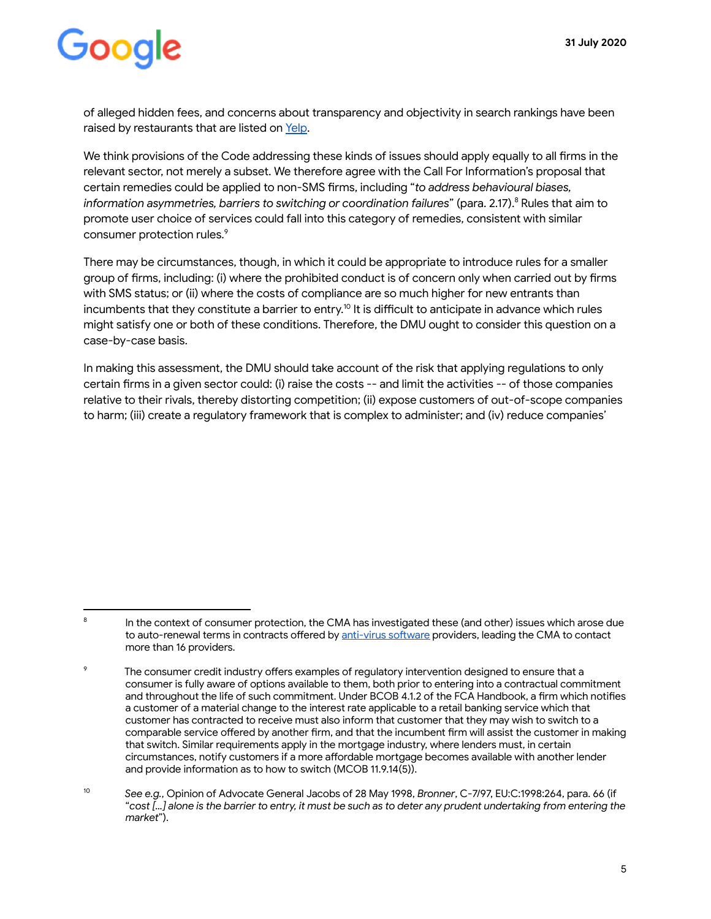of alleged hidden fees, and concerns about transparency and objectivity in search rankings have been raised by restaurants that are listed on Yelp.

We think provisions of the Code addressing these kinds of issues should apply equally to all firms in the relevant sector, not merely a subset. We therefore agree with the Call For Information's proposal that certain remedies could be applied to non-SMS firms, including "*to address behavioural biases*, *information asymmetries, barriers to switching or coordination failures*" (para. 2.17).<sup>8</sup> Rules that aim to promote user choice of services could fall into this category of remedies, consistent with similar consumer protection rules.<sup>9</sup>

There may be circumstances, though, in which it could be appropriate to introduce rules for a smaller group of firms, including: (i) where the prohibited conduct is of concern only when carried out by firms with SMS status; or (ii) where the costs of compliance are so much higher for new entrants than incumbents that they constitute a barrier to entry.<sup>10</sup> It is difficult to anticipate in advance which rules might satisfy one or both of these conditions. Therefore, the DMU ought to consider this question on a case-by-case basis.

In making this assessment, the DMU should take account of the risk that applying regulations to only certain firms in a given sector could: (i) raise the costs -- and limit the activities -- of those companies relative to their rivals, thereby distorting competition; (ii) expose customers of out-of-scope companies to harm; (iii) create a regulatory framework that is complex to administer; and (iv) reduce companies'

<sup>8</sup> In the context of consumer protection, the CMA has investigated these (and other) issues which arose due to auto-renewal terms in contracts offered by anti-virus software providers, leading the CMA to contact more than 16 providers.

 $\overline{Q}$ The consumer credit industry offers examples of regulatory intervention designed to ensure that a consumer is fully aware of options available to them, both prior to entering into a contractual commitment and throughout the life of such commitment. Under BCOB 4.1.2 of the FCA Handbook, a firm which notifies a customer of a material change to the interest rate applicable to a retail banking service which that customer has contracted to receive must also inform that customer that they may wish to switch to a comparable service offered by another firm, and that the incumbent firm will assist the customer in making that switch. Similar requirements apply in the mortgage industry, where lenders must, in certain circumstances, notify customers if a more affordable mortgage becomes available with another lender and provide information as to how to switch (MCOB 11.9.14(5)).

<sup>10</sup> *See e.g.* , Opinion of Advocate General Jacobs of 28 May 1998, *Bronner* , C-7/97, EU:C:1998:264, para. 66 (if " cost [...] alone is the barrier to entry, it must be such as to deter any prudent undertaking from entering the  $market$ ").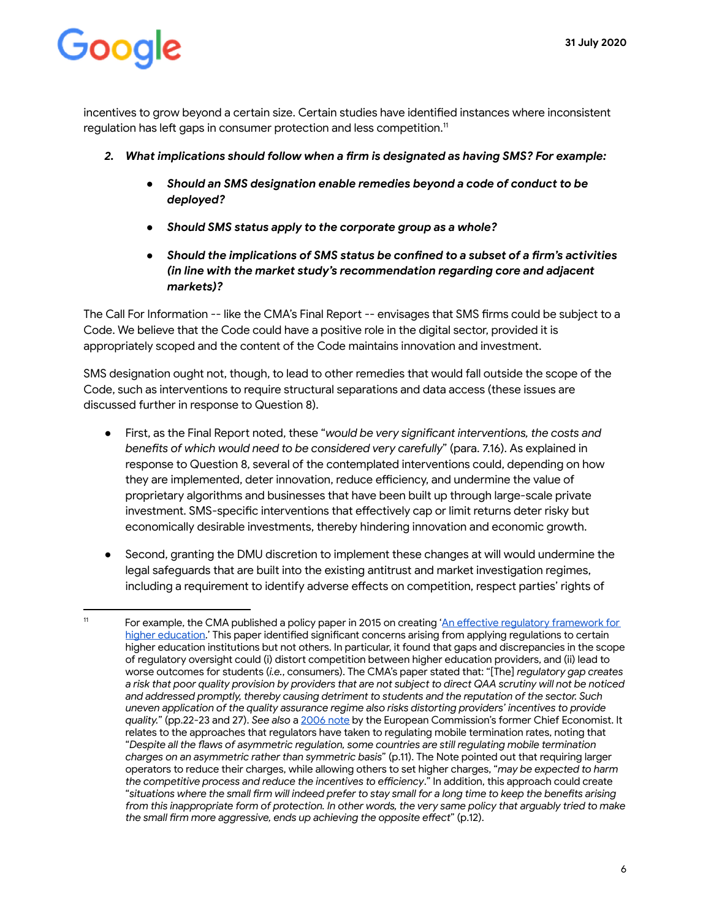incentives to grow beyond a certain size. Certain studies have identified instances where inconsistent regulation has left gaps in consumer protection and less competition.<sup>11</sup>

- 2. What implications should follow when a firm is designated as having SMS? For example:
	- *● Should an SMS designation enable remedies beyond a code of conduct to be deployed?*
	- *● Should SMS status apply to the corporate group as a whole?*
	- **•** Should the implications of SMS status be confined to a subset of a firm's activities *(in line with the market study's recommendation regarding core and adjacent markets)?*

The Call For Information -- like the CMA's Final Report -- envisages that SMS firms could be subject to a Code. We believe that the Code could have a positive role in the digital sector, provided it is appropriately scoped and the content of the Code maintains innovation and investment.

SMS designation ought not, though, to lead to other remedies that would fall outside the scope of the Code, such as interventions to require structural separations and data access (these issues are discussed further in response to Question 8).

- First, as the Final Report noted, these "*would be very significant interventions, the costs and* benefits of which would need to be considered very carefully" (para. 7.16). As explained in response to Question 8, several of the contemplated interventions could, depending on how they are implemented, deter innovation, reduce efficiency, and undermine the value of proprietary algorithms and businesses that have been built up through large-scale private investment. SMS-specific interventions that effectively cap or limit returns deter risky but economically desirable investments, thereby hindering innovation and economic growth.
- Second, granting the DMU discretion to implement these changes at will would undermine the legal safeguards that are built into the existing antitrust and market investigation regimes, including a requirement to identify adverse effects on competition, respect parties' rights of

<sup>&</sup>lt;sup>11</sup> For example, the CMA published a policy paper in 2015 on creating 'An effective regulatory framework for higher education.' This paper identified significant concerns arising from applying regulations to certain higher education institutions but not others. In particular, it found that gaps and discrepancies in the scope of regulatory oversight could (i) distort competition between higher education providers, and (ii) lead to worse outcomes for students (*i.e.*, consumers). The CMA's paper stated that: "[The] *regulatory gap creates a risk that poor quality provision by providers that are not subject to direct QAA scrutiny will not be noticed and addressed promptly, thereby causing detriment to students and the reputation of the sector. Such*  uneven application of the quality assurance regime also risks distorting providers' incentives to provide *quality.* " (pp.22-23 and 27). *See also* a [2006 note](https://www.researchgate.net/profile/Tommaso_Valletti/publication/232710139_Asymmetric_regulation_of_mobile_termination_rates/links/0a85e53286c442a905000000.pdf) by the European Commission's former Chief Economist. It relates to the approaches that regulators have taken to regulating mobile termination rates, noting that "Despite all the flaws of asymmetric regulation, some countries are still regulating mobile termination *charges on an asymmetric rather than symmetric basis* " (p.11). The Note pointed out that requiring larger operators to reduce their charges, while allowing others to set higher charges, " *may be expected to harm the competitive process and reduce the incentives to eciency* ." In addition, this approach could create " situations where the small firm will indeed prefer to stay small for a long time to keep the benefits arising from this inappropriate form of protection. In other words, the very same policy that arguably tried to make the small firm more aggressive, ends up achieving the opposite effect" (p.12).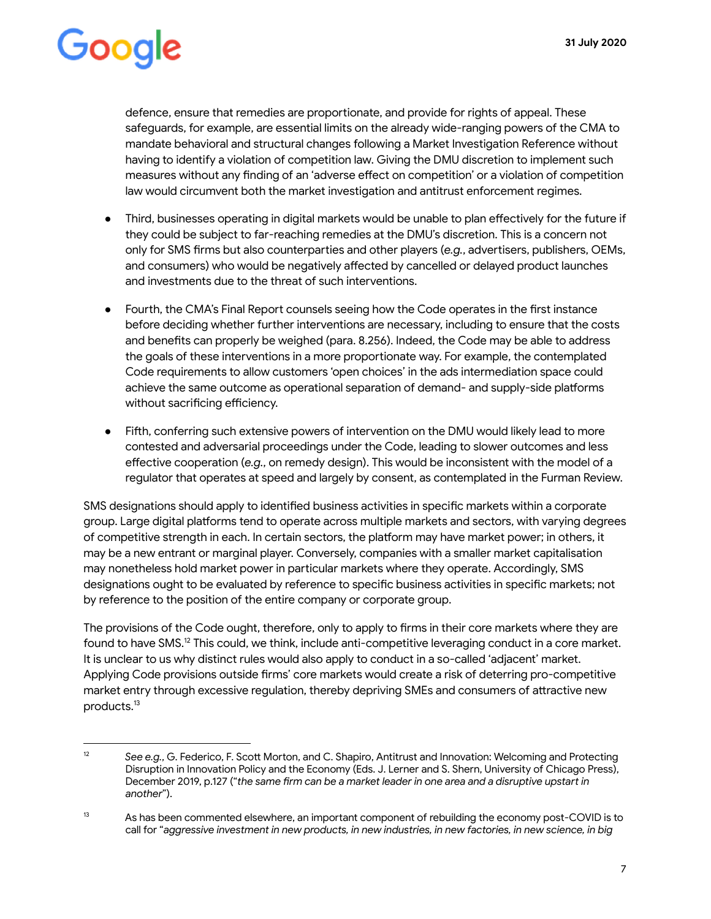defence, ensure that remedies are proportionate, and provide for rights of appeal. These safeguards, for example, are essential limits on the already wide-ranging powers of the CMA to mandate behavioral and structural changes following a Market Investigation Reference without having to identify a violation of competition law. Giving the DMU discretion to implement such measures without any finding of an 'adverse effect on competition' or a violation of competition law would circumvent both the market investigation and antitrust enforcement regimes.

- Third, businesses operating in digital markets would be unable to plan effectively for the future if they could be subject to far-reaching remedies at the DMU's discretion. This is a concern not only for SMS firms but also counterparties and other players (e.g., advertisers, publishers, OEMs, and consumers) who would be negatively affected by cancelled or delayed product launches and investments due to the threat of such interventions.
- $\bullet$  Fourth, the CMA's Final Report counsels seeing how the Code operates in the first instance before deciding whether further interventions are necessary, including to ensure that the costs and benefits can properly be weighed (para. 8.256). Indeed, the Code may be able to address the goals of these interventions in a more proportionate way. For example, the contemplated Code requirements to allow customers 'open choices' in the ads intermediation space could achieve the same outcome as operational separation of demand- and supply-side platforms without sacrificing efficiency.
- Fifth, conferring such extensive powers of intervention on the DMU would likely lead to more contested and adversarial proceedings under the Code, leading to slower outcomes and less effective cooperation (e.g., on remedy design). This would be inconsistent with the model of a regulator that operates at speed and largely by consent, as contemplated in the Furman Review.

SMS designations should apply to identified business activities in specific markets within a corporate group. Large digital platforms tend to operate across multiple markets and sectors, with varying degrees of competitive strength in each. In certain sectors, the platform may have market power; in others, it may be a new entrant or marginal player. Conversely, companies with a smaller market capitalisation may nonetheless hold market power in particular markets where they operate. Accordingly, SMS designations ought to be evaluated by reference to specific business activities in specific markets; not by reference to the position of the entire company or corporate group.

The provisions of the Code ought, therefore, only to apply to firms in their core markets where they are found to have SMS.<sup>12</sup> This could, we think, include anti-competitive leveraging conduct in a core market. It is unclear to us why distinct rules would also apply to conduct in a so-called 'adjacent' market. Applying Code provisions outside firms' core markets would create a risk of deterring pro-competitive market entry through excessive regulation, thereby depriving SMEs and consumers of attractive new products.<sup>13</sup>

<sup>&</sup>lt;sup>12</sup> See e.g., G. Federico, F. Scott Morton, and C. Shapiro, Antitrust and Innovation: Welcoming and Protecting Disruption in Innovation Policy and the Economy (Eds. J. Lerner and S. Shern, University of Chicago Press), December 2019, p.127 ("the same firm can be a market leader in one area and a disruptive upstart in *another* ").

 $13$  As has been commented elsewhere, an important component of rebuilding the economy post-COVID is to call for "aggressive investment in new products, in new industries, in new factories, in new science, in big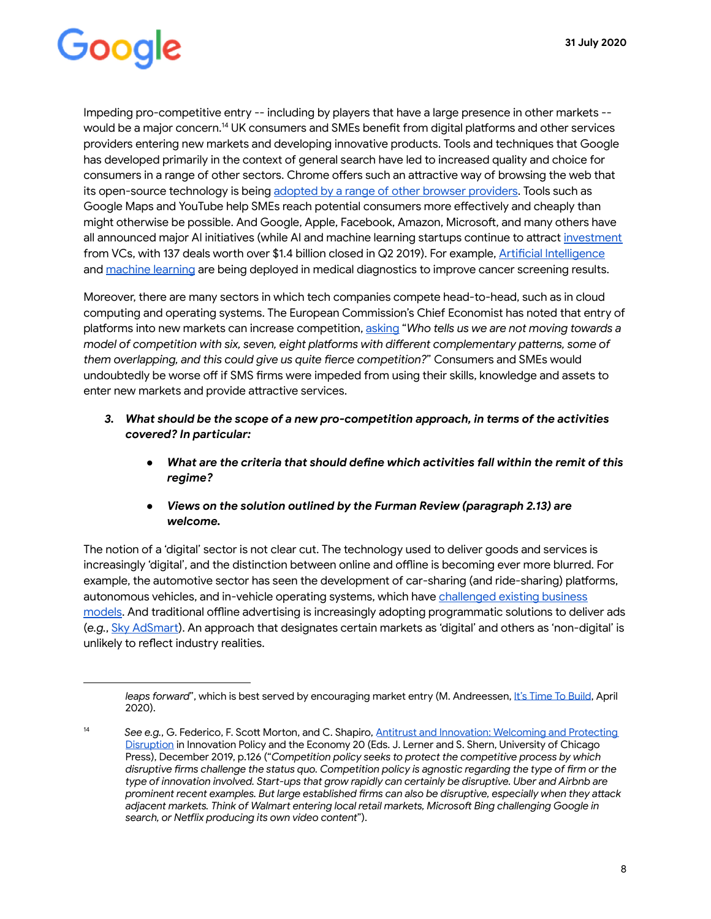Impeding pro-competitive entry -- including by players that have a large presence in other markets - would be a major concern.<sup>14</sup> UK consumers and SMEs benefit from digital platforms and other services providers entering new markets and developing innovative products. Tools and techniques that Google has developed primarily in the context of general search have led to increased quality and choice for consumers in a range of other sectors. Chrome offers such an attractive way of browsing the web that its open-source technology is being [adopted by a range of other browser providers](https://www.theverge.com/2018/12/4/18125238/microsoft-chrome-browser-windows-10-edge-chromium). Tools such as Google Maps and YouTube help SMEs reach potential consumers more effectively and cheaply than might otherwise be possible. And Google, Apple, Facebook, Amazon, Microsoft, and many others have all announced major AI initiatives (while AI and machine learning startups continue to attract investment from VCs, with 137 deals worth over \$1.4 billion closed in Q2 2019). For example, Artificial Intelligence and [machine learning](https://www.blog.google/technology/health/lung-cancer-prediction/) are being deployed in medical diagnostics to improve cancer screening results.

Moreover, there are many sectors in which tech companies compete head-to-head, such as in cloud computing and operating systems. The European Commission's Chief Economist has noted that entry of platforms into new markets can increase competition, [asking](https://www.mlex.com/GlobalAdvisory/DetailView.aspx?cid=1165364&siteid=225&rdir=1) "Who tells us we are not moving towards a *model of competition with six, seven, eight platforms with different complementary patterns, some of them overlapping, and this could give us quite fierce competition?"* Consumers and SMEs would undoubtedly be worse off if SMS firms were impeded from using their skills, knowledge and assets to enter new markets and provide attractive services.

- *3. What should be the scope of a new pro-competition approach, in terms of the activities*  covered? In particular:
	- *What are the criteria that should define which activities fall within the remit of this regime?*
	- *● Views on the solution outlined by the Furman Review (paragraph 2.13) are welcome.*

The notion of a 'digital' sector is not clear cut. The technology used to deliver goods and services is increasingly 'digital', and the distinction between online and offline is becoming ever more blurred. For example, the automotive sector has seen the development of car-sharing (and ride-sharing) platforms, autonomous vehicles, and in-vehicle operating systems, which have [challenged existing business](https://www.businessinsider.com/ford-corporate-restructuring-digital-transformation-2018-7?r=DE&IR=T)  [models](https://www.businessinsider.com/ford-corporate-restructuring-digital-transformation-2018-7?r=DE&IR=T). And traditional offline advertising is increasingly adopting programmatic solutions to deliver ads (e.g., Sky AdSmart). An approach that designates certain markets as 'digital' and others as 'non-digital' is unlikely to reflect industry realities.

leaps forward", which is best served by encouraging market entry (M. Andreessen, [It's Time To Build](https://a16z.com/2020/04/18/its-time-to-build/?utm_campaign=%5Brtsu%5D+Automated+RTS&utm_content=1002071&utm_medium=email&utm_source=cio&utm_term=1000266), April 2020).

<sup>14</sup> See e.g., G. Federico, F. Scott Morton, and C. Shapiro, Antitrust and Innovation: Welcoming and Protecting [Disruption](http://faculty.haas.berkeley.edu/shapiro/disruption.pdf) in Innovation Policy and the Economy 20 (Eds. J. Lerner and S. Shern, University of Chicago Press), December 2019, p.126 (" *Competition policy seeks to protect the competitive process by which*  disruptive firms challenge the status quo. Competition policy is agnostic regarding the type of firm or the type of innovation involved. Start-ups that grow rapidly can certainly be disruptive. Uber and Airbnb are *prominent recent examples. But large established firms can also be disruptive, especially when they attack* adjacent markets. Think of Walmart entering local retail markets, Microsoft Bing challenging Google in *search, or Nelix producing its own video content* ").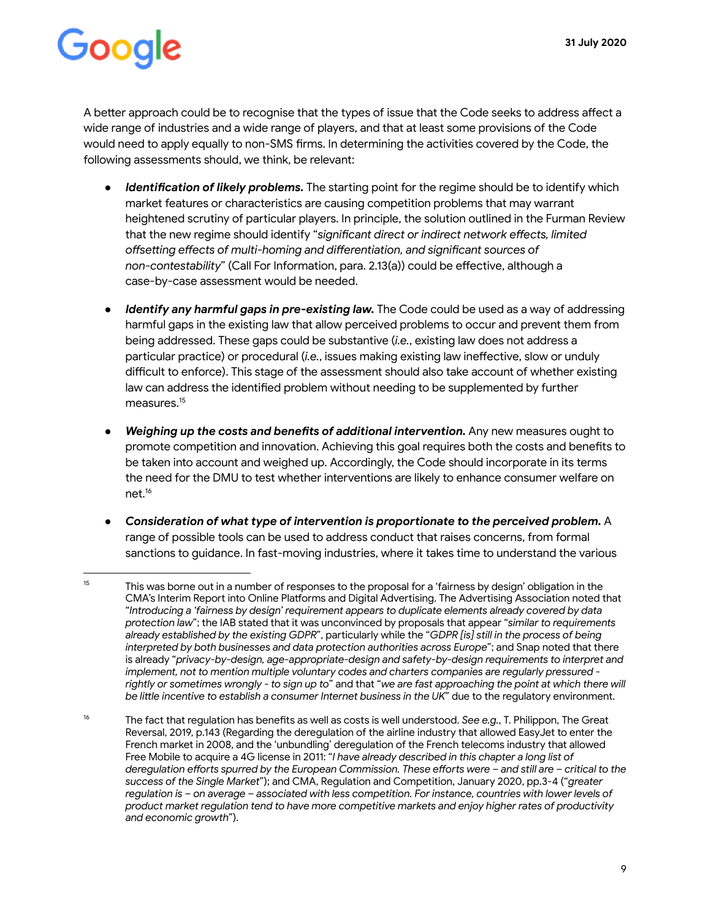A better approach could be to recognise that the types of issue that the Code seeks to address affect a wide range of industries and a wide range of players, and that at least some provisions of the Code would need to apply equally to non-SMS firms. In determining the activities covered by the Code, the following assessments should, we think, be relevant:

- *Identification of likely problems*. The starting point for the regime should be to identify which market features or characteristics are causing competition problems that may warrant heightened scrutiny of particular players. In principle, the solution outlined in the Furman Review that the new regime should identify "significant direct or indirect network effects, limited offsetting effects of multi-homing and differentiation, and significant sources of non-contestability" (Call For Information, para. 2.13(a)) could be effective, although a case-by-case assessment would be needed.
- *Identify any harmful gaps in pre-existing law.* The Code could be used as a way of addressing harmful gaps in the existing law that allow perceived problems to occur and prevent them from being addressed. These gaps could be substantive ( *i.e.* , existing law does not address a particular practice) or procedural (*i.e.*, issues making existing law ineffective, slow or unduly difficult to enforce). This stage of the assessment should also take account of whether existing law can address the identified problem without needing to be supplemented by further  $measures.<sup>15</sup>$
- *Weighing up the costs and benefits of additional intervention.* Any new measures ought to promote competition and innovation. Achieving this goal requires both the costs and benefits to be taken into account and weighed up. Accordingly, the Code should incorporate in its terms the need for the DMU to test whether interventions are likely to enhance consumer welfare on net.<sup>16</sup>
- **•** Consideration of what type of intervention is proportionate to the perceived problem. A range of possible tools can be used to address conduct that raises concerns, from formal sanctions to guidance. In fast-moving industries, where it takes time to understand the various

<sup>&</sup>lt;sup>15</sup> This was borne out in a number of responses to the proposal for a 'fairness by design' obligation in the CMA's Interim Report into Online Platforms and Digital Advertising. The Advertising Association noted that " *Introducing a 'fairness by design' requirement appears to duplicate elements already covered by data protection law* "; the [IAB](https://assets.publishing.service.gov.uk/media/5e8c84d0d3bf7f1fb4ac4ff3/200212_IAB_UK_response_to_interim_report.pdf) stated that it was unconvinced by proposals that appear " *similar to requirements already established by the existing GDPR* ", paicularly while the " *GDPR [is] still in the process of being*  interpreted by both businesses and data protection authorities across Europe"; and [Snap](https://assets.publishing.service.gov.uk/media/5e8c8ad1d3bf7f1fb5b9fee6/Snap_Inc_.pdf) noted that there is already "privacy-by-design, age-appropriate-design and safety-by-design requirements to interpret and *implement, not to mention multiple voluntary codes and charters companies are regularly pressured* rightly or sometimes wrongly - to sign up to" and that "we are fast approaching the point at which there will *be lile incentive to establish a consumer Internet business in the UK* " due to the regulatory environment.

<sup>&</sup>lt;sup>16</sup> The fact that regulation has benefits as well as costs is well understood. See e.g., T. Philippon, The Great Reversal, 2019, p.143 (Regarding the deregulation of the airline industry that allowed EasyJet to enter the French market in 2008, and the 'unbundling' deregulation of the French telecoms industry that allowed Free Mobile to acquire a 4G license in 2011: "*I have already described in this chapter a long list of deregulation efforts spurred by the European Commission. These efforts were - and still are - critical to the success of the Single Market* "); and CMA, Regulation and Competition, January 2020, pp.3-4 (" *greater regulation is – on average – associated with less competition. For instance, countries with lower levels of product market regulation tend to have more competitive markets and enjoy higher rates of productivity and economic growth* ").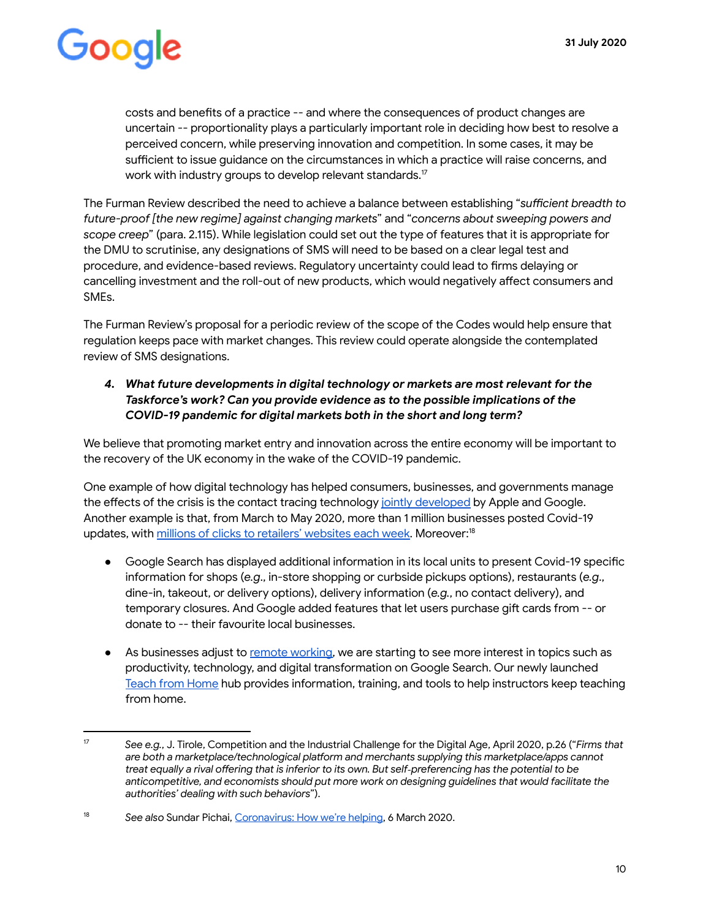costs and benefits of a practice -- and where the consequences of product changes are uncertain -- proportionality plays a particularly important role in deciding how best to resolve a perceived concern, while preserving innovation and competition. In some cases, it may be sufficient to issue guidance on the circumstances in which a practice will raise concerns, and work with industry groups to develop relevant standards.<sup>17</sup>

The Furman Review described the need to achieve a balance between establishing "sufficient breadth to *future-proof [the new regime] against changing markets* " and " *concerns about sweeping powers and scope creep* " (para. 2.115). While legislation could set out the type of features that it is appropriate for the DMU to scrutinise, any designations of SMS will need to be based on a clear legal test and procedure, and evidence-based reviews. Regulatory uncertainty could lead to firms delaying or cancelling investment and the roll-out of new products, which would negatively affect consumers and SMEs.

The Furman Review's proposal for a periodic review of the scope of the Codes would help ensure that regulation keeps pace with market changes. This review could operate alongside the contemplated review of SMS designations.

#### *4. What future developments in digital technology or markets are most relevant for the Taskforce's work? Can you provide evidence as to the possible implications of the COVID-19 pandemic for digital markets both in the short and long term?*

We believe that promoting market entry and innovation across the entire economy will be important to the recovery of the UK economy in the wake of the COVID-19 pandemic.

One example of how digital technology has helped consumers, businesses, and governments manage the effects of the crisis is the contact tracing technology [jointly developed](https://www.apple.com/uk/newsroom/2020/04/apple-and-google-partner-on-covid-19-contact-tracing-technology/) by Apple and Google. Another example is that, from March to May 2020, more than 1 million businesses posted Covid-19 updates, with [millions of clicks to retailers' websites each week](https://www.blog.google/outreach-initiatives/small-business/new-tools-help-businesses-during-covid-19/). Moreover:<sup>18</sup>

- Google Search has displayed additional information in its local units to present Covid-19 specific information for shops (e.g., in-store shopping or curbside pickups options), restaurants (e.g., dine-in, takeout, or delivery options), delivery information (e.g., no contact delivery), and temporary closures. And Google added features that let users purchase gift cards from -- or donate to -- their favourite local businesses.
- As businesses adjust to [remote working](https://grow.google/intl/it/remote-work), we are starting to see more interest in topics such as productivity, technology, and digital transformation on Google Search. Our newly launched [Teach from Home](https://teachfromhome.google/intl/it/) hub provides information, training, and tools to help instructors keep teaching from home.

<sup>17</sup> *See e.g.* , J. Tirole, Competition and the Industrial Challenge for the Digital Age, April 2020, p.26 (" *Firms that*  are both a marketplace/technological platform and merchants supplying this marketplace/apps cannot treat equally a rival offering that is inferior to its own. But self-preferencing has the potential to be *anticompetitive, and economists should put more work on designing guidelines that would facilitate the authorities' dealing with such behaviors* ").

<sup>&</sup>lt;sup>18</sup> See also Sundar Pichai, Coronavirus: How we're helping, 6 March 2020.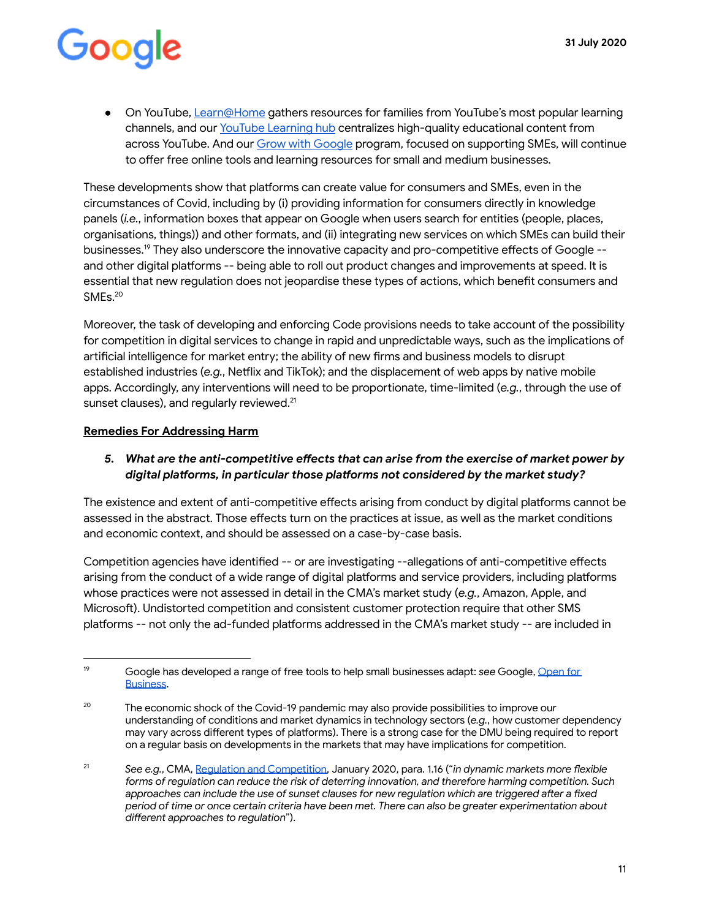*●* On YouTube, [Learn@Home](https://learnathome.withyoutube.com/intl/it) gathers resources for families from YouTube's most popular learning channels, and our [YouTube Learning hub](https://www.youtube.com/learning?gl=IT) centralizes high-quality educational content from across YouTube. And our [Grow with Google](https://grow.google/intl/europe) program, focused on supporting SMEs, will continue to offer free online tools and learning resources for small and medium businesses.

These developments show that platforms can create value for consumers and SMEs, even in the circumstances of Covid, including by (i) providing information for consumers directly in knowledge panels (*i.e.*, information boxes that appear on Google when users search for entities (people, places, organisations, things)) and other formats, and (ii) integrating new services on which SMEs can build their businesses.<sup>19</sup> They also underscore the innovative capacity and pro-competitive effects of Google -and other digital platforms -- being able to roll out product changes and improvements at speed. It is essential that new regulation does not jeopardise these types of actions, which benefit consumers and SMEs.<sup>20</sup>

Moreover, the task of developing and enforcing Code provisions needs to take account of the possibility for competition in digital services to change in rapid and unpredictable ways, such as the implications of artificial intelligence for market entry; the ability of new firms and business models to disrupt established industries (e.g., Netflix and TikTok); and the displacement of web apps by native mobile apps. Accordingly, any interventions will need to be proportionate, time-limited (e.g., through the use of sunset clauses), and regularly reviewed.<sup>21</sup>

#### **Remedies For Addressing Harm**

#### 5. What are the anti-competitive effects that can arise from the exercise of market power by digital platforms, in particular those platforms not considered by the market study?

The existence and extent of anti-competitive effects arising from conduct by digital platforms cannot be assessed in the abstract. Those effects turn on the practices at issue, as well as the market conditions and economic context, and should be assessed on a case-by-case basis.

Competition agencies have identified -- or are investigating --allegations of anti-competitive effects arising from the conduct of a wide range of digital platforms and service providers, including platforms whose practices were not assessed in detail in the CMA's market study ( *e.g.* , Amazon, Apple, and Microsoft). Undistorted competition and consistent customer protection require that other SMS platforms -- not only the ad-funded platforms addressed in the CMA's market study -- are included in

<sup>19</sup> Google has developed a range of free tools to help small businesses adapt: *see* Google, [Open for](https://grow.google/intl/uk)  **[Business](https://grow.google/intl/uk).** 

<sup>&</sup>lt;sup>20</sup> The economic shock of the Covid-19 pandemic may also provide possibilities to improve our understanding of conditions and market dynamics in technology sectors ( *e.g.* , how customer dependency may vary across different types of platforms). There is a strong case for the DMU being required to report on a regular basis on developments in the markets that may have implications for competition.

<sup>&</sup>lt;sup>21</sup> See e.g., CMA, [Regulation and Competition](https://assets.publishing.service.gov.uk/government/uploads/system/uploads/attachment_data/file/857024/Regulation_and_Competition_report_-_web_version.pdf), January 2020, para. 1.16 ("*in dynamic markets more flexible forms of regulation can reduce the risk of deterring innovation, and therefore harming competition. Such*  approaches can include the use of sunset clauses for new regulation which are triggered after a fixed *period of time or once ceain criteria have been met. There can also be greater experimentation about different approaches to regulation*").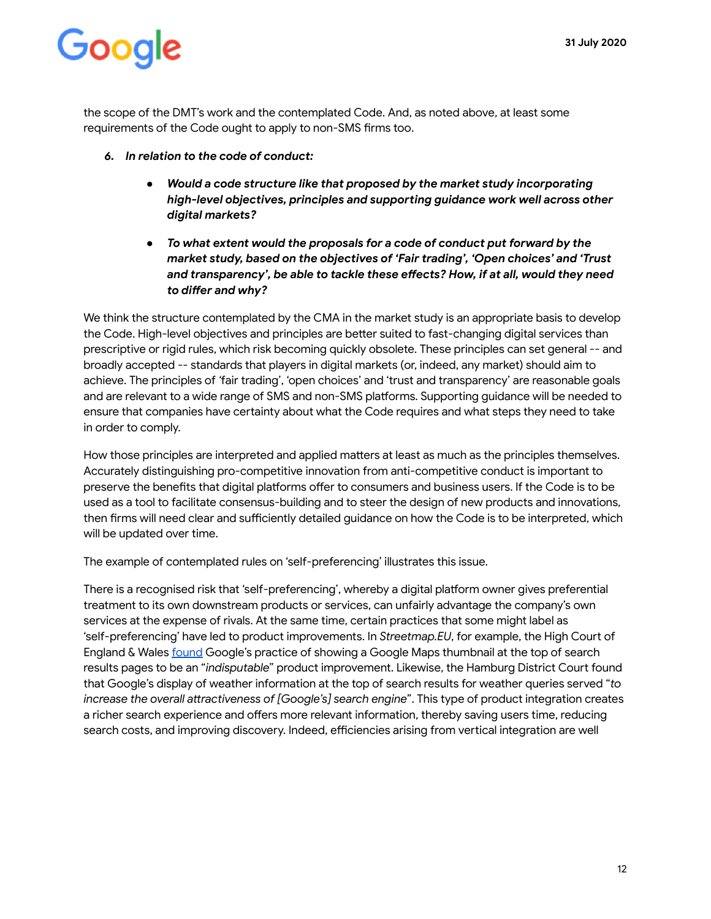the scope of the DMT's work and the contemplated Code. And, as noted above, at least some requirements of the Code ought to apply to non-SMS firms too.

- *6. In relation to the code of conduct:* 
	- *● Would a code structure like that proposed by the market study incorporating high-level objectives, principles and supporting guidance work well across other digital markets?*
	- *● To what extent would the proposals for a code of conduct put forward by the market study, based on the objectives of 'Fair trading', 'Open choices' and 'Trust*  and transparency', be able to tackle these effects? How, if at all, would they need to differ and why?

We think the structure contemplated by the CMA in the market study is an appropriate basis to develop the Code. High-level objectives and principles are better suited to fast-changing digital services than prescriptive or rigid rules, which risk becoming quickly obsolete. These principles can set general -- and broadly accepted -- standards that players in digital markets (or, indeed, any market) should aim to achieve. The principles of *'* fair trading', 'open choices' and 'trust and transparency' are reasonable goals and are relevant to a wide range of SMS and non-SMS platforms. Supporting guidance will be needed to ensure that companies have certainty about what the Code requires and what steps they need to take in order to comply.

How those principles are interpreted and applied matters at least as much as the principles themselves. Accurately distinguishing pro-competitive innovation from anti-competitive conduct is important to preserve the benefits that digital platforms offer to consumers and business users. If the Code is to be used as a tool to facilitate consensus-building and to steer the design of new products and innovations, then firms will need clear and sufficiently detailed guidance on how the Code is to be interpreted, which will be updated over time.

The example of contemplated rules on 'self-preferencing' illustrates this issue.

There is a recognised risk that 'self-preferencing', whereby a digital platform owner gives preferential treatment to its own downstream products or services, can unfairly advantage the company's own services at the expense of rivals. At the same time, certain practices that some might label as 'self-preferencing' have led to product improvements. In *Streetmap.EU*, for example, the High Court of England & Wales [found G](https://www.bailii.org/ew/cases/EWHC/Ch/2016/253.html)oogle's practice of showing a Google Maps thumbnail at the top of search results pages to be an "*indisputable*" product improvement. Likewise, the Hamburg District Court found that Google's display of weather information at the top of search results for weather queries served " *to*  increase the overall attractiveness of [Google's] search engine". This type of product integration creates a richer search experience and offers more relevant information, thereby saving users time, reducing search costs, and improving discovery. Indeed, efficiencies arising from vertical integration are well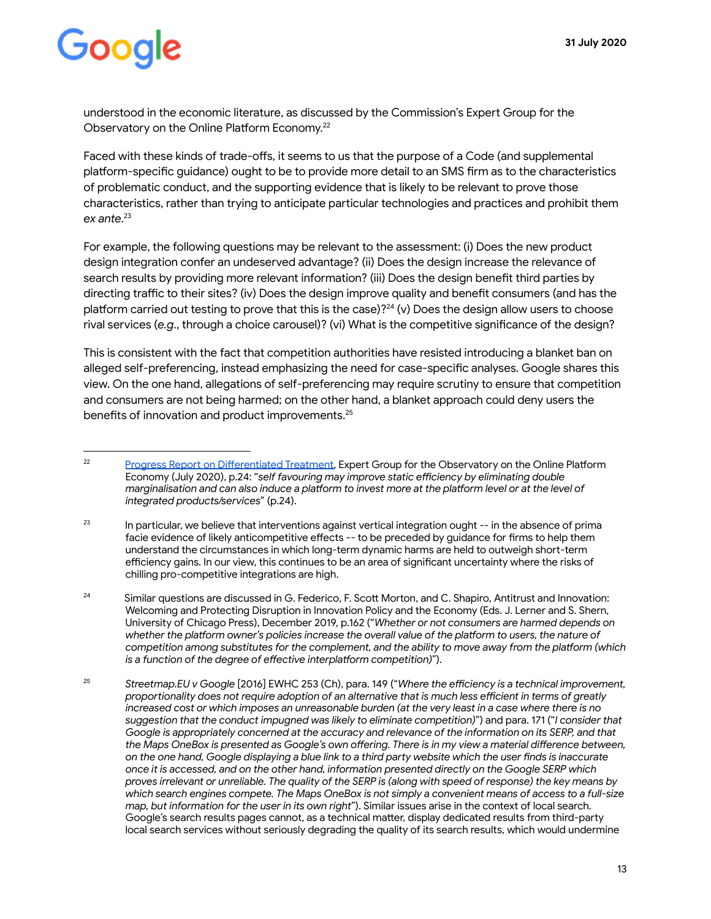understood in the economic literature, as discussed by the Commission's Expert Group for the Observatory on the Online Platform Economy.<sup>22</sup>

Faced with these kinds of trade-offs, it seems to us that the purpose of a Code (and supplemental platform-specific guidance) ought to be to provide more detail to an SMS firm as to the characteristics of problematic conduct, and the supporting evidence that is likely to be relevant to prove those characteristics, rather than trying to anticipate particular technologies and practices and prohibit them ex ante.<sup>23</sup>

For example, the following questions may be relevant to the assessment: (i) Does the new product design integration confer an undeserved advantage? (ii) Does the design increase the relevance of search results by providing more relevant information? (iii) Does the design benefit third parties by directing traffic to their sites? (iv) Does the design improve quality and benefit consumers (and has the platform carried out testing to prove that this is the case)? $^{24}$  (v) Does the design allow users to choose rival services (e.g., through a choice carousel)? (vi) What is the competitive significance of the design?

This is consistent with the fact that competition authorities have resisted introducing a blanket ban on alleged self-preferencing, instead emphasizing the need for case-specific analyses. Google shares this view. On the one hand, allegations of self-preferencing may require scrutiny to ensure that competition and consumers are not being harmed; on the other hand, a blanket approach could deny users the benefits of innovation and product improvements.<sup>25</sup>

<sup>&</sup>lt;sup>22</sup> Progress Report on Differentiated Treatment, Expert Group for the Observatory on the Online Platform Economy (July 2020), p.24: "self favouring may improve static efficiency by eliminating double *marginalisation and can also induce a platform to invest more at the platform level or at the level of integrated products/services* " (p.24).

 $23$  In particular, we believe that interventions against vertical integration ought  $-$  in the absence of prima facie evidence of likely anticompetitive effects -- to be preceded by quidance for firms to help them understand the circumstances in which long-term dynamic harms are held to outweigh short-term efficiency gains. In our view, this continues to be an area of significant uncertainty where the risks of chilling pro-competitive integrations are high.

<sup>&</sup>lt;sup>24</sup> Similar questions are discussed in G. Federico, F. Scott Morton, and C. Shapiro, Antitrust and Innovation: Welcoming and Protecting Disruption in Innovation Policy and the Economy (Eds. J. Lerner and S. Shern, University of Chicago Press), December 2019, p.162 (" *Whether or not consumers are harmed depends on*  whether the platform owner's policies increase the overall value of the platform to users, the nature of *competition among substitutes for the complement, and the ability to move away from the platform (which ightation) is a function of the degree of effective interplatform competition)"*).

<sup>&</sup>lt;sup>25</sup> Streetmap.EU v Google [2016] EWHC 253 (Ch), para. 149 ("Where the efficiency is a technical improvement, proportionality does not require adoption of an alternative that is much less efficient in terms of greatly increased cost or which imposes an unreasonable burden (at the very least in a case where there is no *suggestion that the conduct impugned was likely to eliminate competition)* ") and para. 171 (" *I consider that Google is appropriately concerned at the accuracy and relevance of the information on its SERP, and that*  the Maps OneBox is presented as Google's own offering. There is in my view a material difference between, on the one hand, Google displaying a blue link to a third party website which the user finds is inaccurate *once it is accessed, and on the other hand, information presented directly on the Google SERP which proves irrelevant or unreliable. The quality of the SERP is (along with speed of response) the key means by which search engines compete. The Maps OneBox is not simply a convenient means of access to a full-size map, but information for the user in its own right* "). Similar issues arise in the context of local search. Google's search results pages cannot, as a technical matter, display dedicated results from third-party local search services without seriously degrading the quality of its search results, which would undermine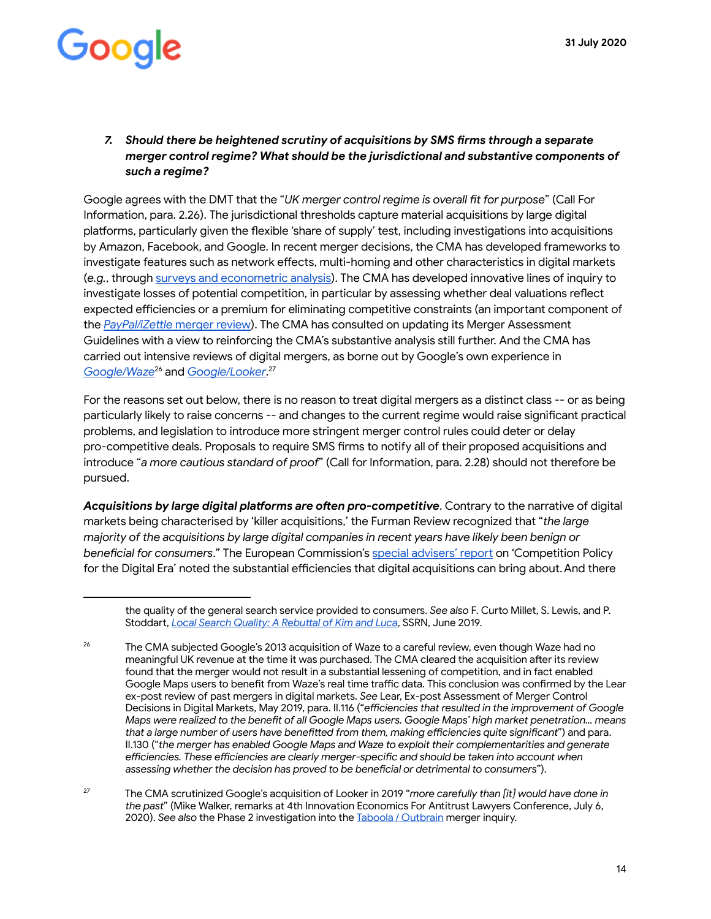#### *7. Should there be heightened scrutiny of acquisitions by SMS rms through a separate merger control regime? What should be the jurisdictional and substantive components of such a regime?*

Google agrees with the DMT that the "UK merger control regime is overall fit for purpose" (Call For Information, para. 2.26). The jurisdictional thresholds capture material acquisitions by large digital platforms, particularly given the flexible 'share of supply' test, including investigations into acquisitions by Amazon, Facebook, and Google. In recent merger decisions, the CMA has developed frameworks to investigate features such as network effects, multi-homing and other characteristics in digital markets ( *e.g.* , through [surveys and econometric analysis](https://assets.publishing.service.gov.uk/media/5a0d6521ed915d0ade60db7e/justeat-hungryhouse-final-report.pdf) ). The CMA has developed innovative lines of inquiry to investigate losses of potential competition, in particular by assessing whether deal valuations reflect expected efficiencies or a premium for eliminating competitive constraints (an important component of the *PayPal/iZettle* [merger review](https://www.gov.uk/cma-cases/paypal-holdings-inc-izettle-ab-merger-inquiry)). The CMA has consulted on updating its Merger Assessment Guidelines with a view to reinforcing the CMA's substantive analysis still further. And the CMA has carried out intensive reviews of digital mergers, as borne out by Google's own experience in *Google/Waze<sup>26</sup> and <u>Google/Looker</u>.<sup>27</sup>* 

For the reasons set out below, there is no reason to treat digital mergers as a distinct class -- or as being particularly likely to raise concerns -- and changes to the current regime would raise significant practical problems, and legislation to introduce more stringent merger control rules could deter or delay pro-competitive deals. Proposals to require SMS firms to notify all of their proposed acquisitions and introduce "a more cautious standard of proof" (Call for Information, para. 2.28) should not therefore be pursued.

Acquisitions by large digital platforms are often pro-competitive. Contrary to the narrative of digital markets being characterised by 'killer acquisitions,' the Furman Review recognized that " *the large majority of the acquisitions by large digital companies in recent years have likely been benign or beneficial for consumers.*" The European Commission's [special advisers' repo](https://ec.europa.eu/competition/publications/reports/kd0419345enn.pdf)rt on 'Competition Policy for the Digital Era' noted the substantial efficiencies that digital acquisitions can bring about. And there

the quality of the general search service provided to consumers. See also F. Curto Millet, S. Lewis, and P. Stoddart, *Local Search Quality: A Rebuttal of Kim and Luca*, SSRN, June 2019.

<sup>&</sup>lt;sup>26</sup> The CMA subjected Google's 2013 acquisition of Waze to a careful review, even though Waze had no meaningful UK revenue at the time it was purchased. The CMA cleared the acquisition after its review found that the merger would not result in a substantial lessening of competition, and in fact enabled Google Maps users to benefit from Waze's real time traffic data. This conclusion was confirmed by the Lear ex-post review of past mergers in digital markets. *See* Lear, Ex-post Assessment of Merger Control Decisions in Digital Markets, May 2019, para. II.116 ("efficiencies that resulted in the improvement of Google *Maps were realized to the benefit of all Google Maps users. Google Maps' high market penetration... means* that a large number of users have benefitted from them, making efficiencies quite significant") and para. II.130 (" *the merger has enabled Google Maps and Waze to exploit their complementarities and generate*  efficiencies. These efficiencies are clearly merger-specific and should be taken into account when *assessing whether the decision has proved to be benecial or detrimental to consumers* ").

<sup>&</sup>lt;sup>27</sup> The CMA scrutinized Google's acquisition of Looker in 2019 "*more carefully than [it] would have done in the past* " (Mike Walker, remarks at 4th Innovation Economics For Antitrust Lawyers Conference, July 6, 2020). *See also* the Phase 2 investigation into the [Taboola / Outbrain](https://www.gov.uk/cma-cases/taboola-outbrain-merger-inquiry) merger inquiry.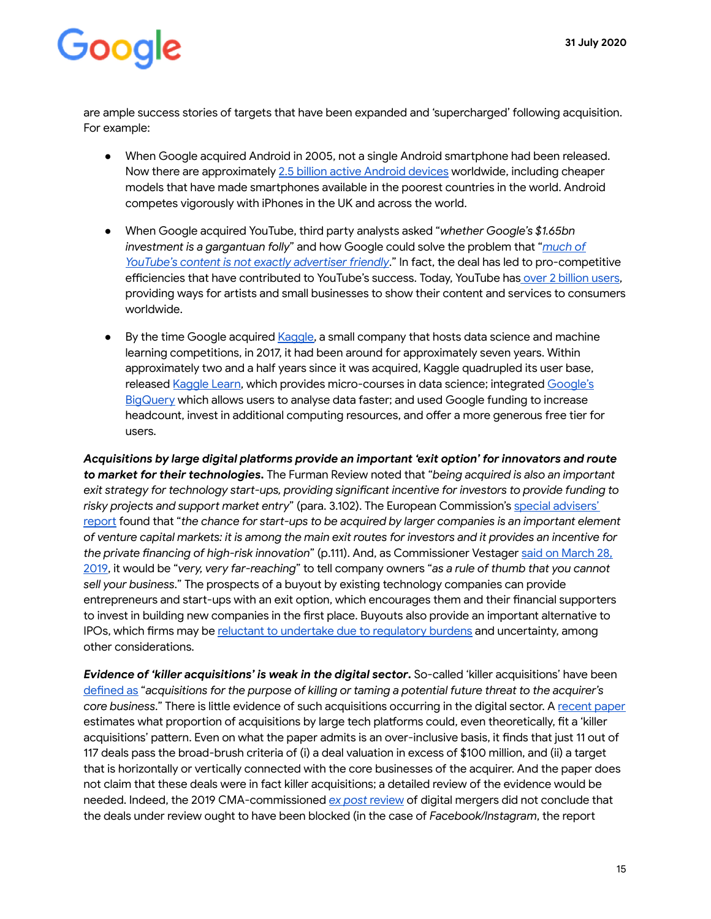are ample success stories of targets that have been expanded and 'supercharged' following acquisition. For example:

- When Google acquired Android in 2005, not a single Android smartphone had been released. Now there are approximately [2.5 billion active Android devices](https://urldefense.com/v3/__https:/www.theverge.com/2019/5/7/18528297/google-io-2019-android-devices-play-store-total-number-statistic-keynote__;!!JBqN7g!Gg3K2SBYjpdHChY5zODQqi8fHxFMGLReNDryEKW0WJJ0PDH66HqhBwbVpzhRxw$) worldwide, including cheaper models that have made smartphones available in the poorest countries in the world. Android competes vigorously with iPhones in the UK and across the world.
- When Google acquired YouTube, third party analysts asked "whether Google's \$1.65bn investment is a gargantuan folly" and how Google could solve the problem that "*much of YouTube's content is not exactly advertiser friendly*." In fact, the deal has led to pro-competitive efficiencies that have contributed to YouTube's success. Today, YouTube has over 2 billion users, providing ways for artists and small businesses to show their content and services to consumers worldwide.
- By the time Google acquired [Kaggle](https://urldefense.com/v3/__https:/www.kaggle.com/__;!!JBqN7g!Gg3K2SBYjpdHChY5zODQqi8fHxFMGLReNDryEKW0WJJ0PDH66HqhBwaS4cLtiA$), a small company that hosts data science and machine learning competitions, in 2017, it had been around for approximately seven years. Within approximately two and a half years since it was acquired, Kaggle quadrupled its user base, released Kaggle Learn, which provides micro-courses in data science; integrated Google's [BigQuery](https://urldefense.com/v3/__http:/blog.kaggle.com/2019/06/24/kaggle-kernels-notebooks-now-offers-bigquery/__;!!JBqN7g!Gg3K2SBYjpdHChY5zODQqi8fHxFMGLReNDryEKW0WJJ0PDH66HqhBwYvAagRqA$) which allows users to analyse data faster; and used Google funding to increase headcount, invest in additional computing resources, and offer a more generous free tier for users.

Acquisitions by large digital platforms provide an important 'exit option' for innovators and route **to market for their technologies.** The Furman Review noted that "being acquired is also an important exit strategy for technology start-ups, providing significant incentive for investors to provide funding to risky projects and support market entry" (para. 3.102). The European Commission's special advisers' [repo](https://ec.europa.eu/competition/publications/reports/kd0419345enn.pdf)rt found that "the chance for start-ups to be acquired by larger companies is an important element *of venture capital markets: it is among the main exit routes for investors and it provides an incentive for the private nancing of high-risk innovation* " (p.111). And, as Commissioner Vestager [said on March 28,](https://urldefense.com/v3/__https:/www.mlex.com/GlobalAdvisory/DetailView.aspx?cid=1078340&siteid=225&rdir=1__;!!JBqN7g!Gg3K2SBYjpdHChY5zODQqi8fHxFMGLReNDryEKW0WJJ0PDH66HqhBwbYUFM4vQ$)  [2019 ,](https://urldefense.com/v3/__https:/www.mlex.com/GlobalAdvisory/DetailView.aspx?cid=1078340&siteid=225&rdir=1__;!!JBqN7g!Gg3K2SBYjpdHChY5zODQqi8fHxFMGLReNDryEKW0WJJ0PDH66HqhBwbYUFM4vQ$) it would be " *very, very far-reaching* " to tell company owners " *as a rule of thumb that you cannot sell your business* ." The prospects of a buyout by existing technology companies can provide entrepreneurs and start-ups with an exit option, which encourages them and their financial supporters to invest in building new companies in the first place. Buyouts also provide an important alternative to IPOs, which firms may be reluctant to undertake due to regulatory burdens and uncertainty, among other considerations.

*Evidence of 'killer acquisitions' is weak in the digital sector* **.** So-called 'killer acquisitions' have been defined as "acquisitions for the purpose of killing or taming a potential future threat to the acquirer's *core business.*" There is little evidence of such acquisitions occurring in the digital sector. A [recent paper](https://urldefense.com/v3/__https:/www.competitionpolicyinternational.com/beyond-killer-acquisitions-are-there-more-common-potential-competition-issues-in-tech-deals-and-how-can-these-be-assessed/__;!!JBqN7g!Gg3K2SBYjpdHChY5zODQqi8fHxFMGLReNDryEKW0WJJ0PDH66HqhBwamkT43Jw$) estimates what proportion of acquisitions by large tech platforms could, even theoretically, fit a 'killer acquisitions' pattern. Even on what the paper admits is an over-inclusive basis, it finds that just 11 out of 117 deals pass the broad-brush criteria of (i) a deal valuation in excess of \$100 million, and (ii) a target that is horizontally or vertically connected with the core businesses of the acquirer. And the paper does not claim that these deals were in fact killer acquisitions; a detailed review of the evidence would be needed. Indeed, the 2019 CMA-commissioned *[ex post](https://www.learlab.com/wp-content/uploads/2019/06/CMA_past_digital_mergers_GOV.UK_version-1.pdf)* [review](https://www.learlab.com/wp-content/uploads/2019/06/CMA_past_digital_mergers_GOV.UK_version-1.pdf) of digital mergers did not conclude that the deals under review ought to have been blocked (in the case of *Facebook/Instagram* , the repo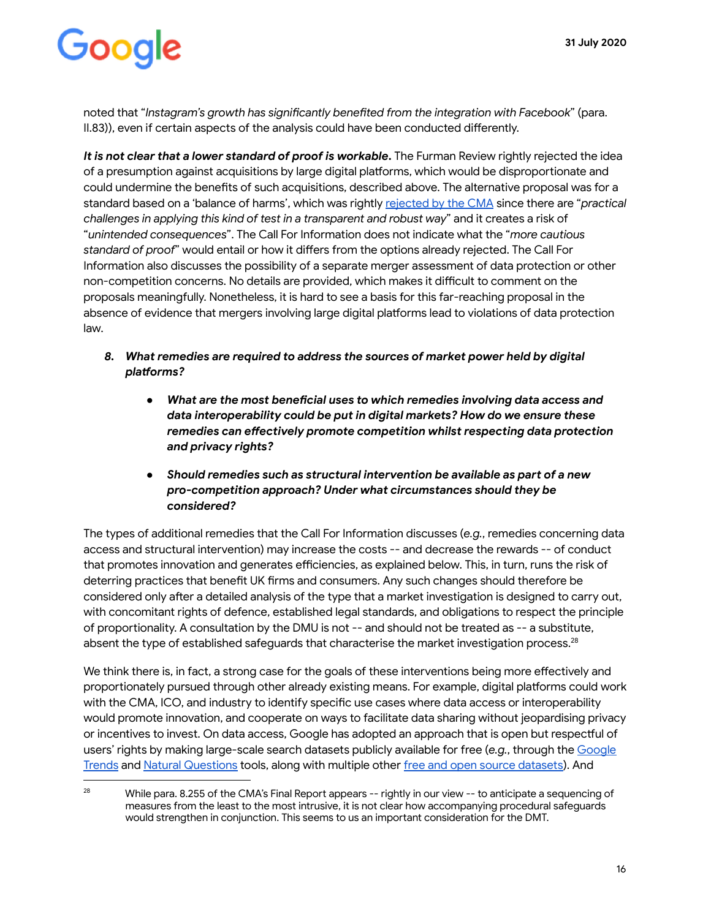noted that "*Instagram's growth has significantly benefited from the integration with Facebook" (para.* II.83)), even if certain aspects of the analysis could have been conducted differently.

It is not clear that a lower standard of proof is workable. The Furman Review rightly rejected the idea of a presumption against acquisitions by large digital platforms, which would be disproportionate and could undermine the benefits of such acquisitions, described above. The alternative proposal was for a standard based on a 'balance of harms', which was rightly [rejected by the CMA](https://assets.publishing.service.gov.uk/government/uploads/system/uploads/attachment_data/file/890013/CMA_letter_to_BEIS_-_DCEP_report_and_recommendations__Redacted_.pdf) since there are " *practical challenges in applying this kind of test in a transparent and robust way* " and it creates a risk of " *unintended consequences* ". The Call For Information does not indicate what the " *more cautious*  standard of proof" would entail or how it differs from the options already rejected. The Call For Information also discusses the possibility of a separate merger assessment of data protection or other non-competition concerns. No details are provided, which makes it difficult to comment on the proposals meaningfully. Nonetheless, it is hard to see a basis for this far-reaching proposal in the absence of evidence that mergers involving large digital platforms lead to violations of data protection law.

- *8. What remedies are required to address the sources of market power held by digital plaorms?* 
	- *What are the most beneficial uses to which remedies involving data access and data interoperability could be put in digital markets? How do we ensure these remedies can effectively promote competition whilst respecting data protection and privacy rights?*
	- **•** Should remedies such as structural intervention be available as part of a new *pro-competition approach? Under what circumstances should they be considered?*

The types of additional remedies that the Call For Information discusses ( *e.g.* , remedies concerning data access and structural intervention) may increase the costs -- and decrease the rewards -- of conduct that promotes innovation and generates efficiencies, as explained below. This, in turn, runs the risk of deterring practices that benefit UK firms and consumers. Any such changes should therefore be considered only after a detailed analysis of the type that a market investigation is designed to carry out, with concomitant rights of defence, established legal standards, and obligations to respect the principle of proportionality. A consultation by the DMU is not -- and should not be treated as -- a substitute, absent the type of established safeguards that characterise the market investigation process.<sup>28</sup>

We think there is, in fact, a strong case for the goals of these interventions being more effectively and proportionately pursued through other already existing means. For example, digital platforms could work with the CMA, ICO, and industry to identify specific use cases where data access or interoperability would promote innovation, and cooperate on ways to facilitate data sharing without jeopardising privacy or incentives to invest. On data access, Google has adopted an approach that is open but respectful of users' rights by making large-scale search datasets publicly available for free ( *e.g.* , through the [Google](https://trends.google.com/trends/?geo=US)  [Trends](https://trends.google.com/trends/?geo=US) and [Natural Questions](https://ai.google.com/research/NaturalQuestions/) tools, along with multiple other [free and open source datasets](https://www.blog.google/technology/research/open-source-and-open-data/) ). And

<sup>&</sup>lt;sup>28</sup> While para. 8.255 of the CMA's Final Report appears -- rightly in our view -- to anticipate a sequencing of measures from the least to the most intrusive, it is not clear how accompanying procedural safeguards would strengthen in conjunction. This seems to us an important consideration for the DMT.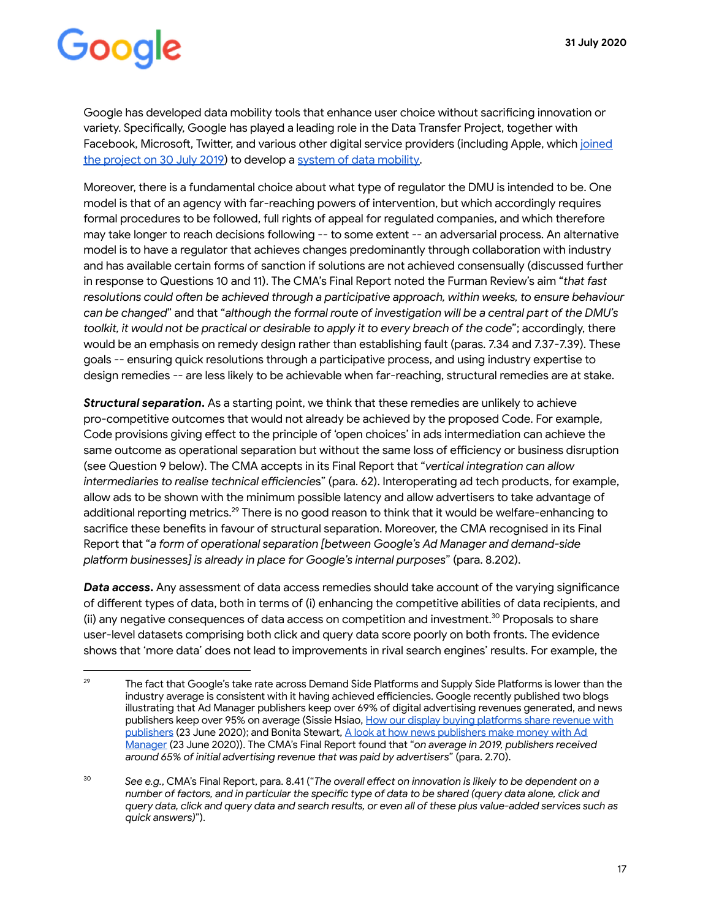Google has developed data mobility tools that enhance user choice without sacrificing innovation or variety. Specifically, Google has played a leading role in the Data Transfer Project, together with Facebook, Microsoft, Twitter, and various other digital service providers (including Apple, which joined the project on 30 July 2019) to develop a system of data mobility.

Moreover, there is a fundamental choice about what type of regulator the DMU is intended to be. One model is that of an agency with far-reaching powers of intervention, but which accordingly requires formal procedures to be followed, full rights of appeal for regulated companies, and which therefore may take longer to reach decisions following -- to some extent -- an adversarial process. An alternative model is to have a regulator that achieves changes predominantly through collaboration with industry and has available certain forms of sanction if solutions are not achieved consensually (discussed further in response to Questions 10 and 11). The CMA's Final Report noted the Furman Review's aim "that fast resolutions could often be achieved through a participative approach, within weeks, to ensure behaviour *can be changed*" and that "*although the formal route of investigation will be a central part of the DMU's toolkit, it would not be practical or desirable to apply it to every breach of the code* "; accordingly, there would be an emphasis on remedy design rather than establishing fault (paras. 7.34 and 7.37-7.39). These goals -- ensuring quick resolutions through a participative process, and using industry expertise to design remedies -- are less likely to be achievable when far-reaching, structural remedies are at stake.

**Structural separation.** As a starting point, we think that these remedies are unlikely to achieve pro-competitive outcomes that would not already be achieved by the proposed Code. For example, Code provisions giving effect to the principle of 'open choices' in ads intermediation can achieve the same outcome as operational separation but without the same loss of efficiency or business disruption (see Question 9 below). The CMA accepts in its Final Report that "*vertical integration can allow intermediaries to realise technical efficiencies*" (para. 62). Interoperating ad tech products, for example, allow ads to be shown with the minimum possible latency and allow advertisers to take advantage of additional reporting metrics.<sup>29</sup> There is no good reason to think that it would be welfare-enhancing to sacrifice these benefits in favour of structural separation. Moreover, the CMA recognised in its Final Report that "a form of operational separation [between Google's Ad Manager and demand-side platform businesses] is already in place for Google's internal purposes" (para. 8.202).

**Data access.** Any assessment of data access remedies should take account of the varying significance of different types of data, both in terms of (i) enhancing the competitive abilities of data recipients, and (ii) any negative consequences of data access on competition and investment.<sup>30</sup> Proposals to share user-level datasets comprising both click and query data score poorly on both fronts. The evidence shows that 'more data' does not lead to improvements in rival search engines' results. For example, the

<sup>&</sup>lt;sup>29</sup> The fact that Google's take rate across Demand Side Platforms and Supply Side Platforms is lower than the industry average is consistent with it having achieved efficiencies. Google recently published two blogs illustrating that Ad Manager publishers keep over 69% of digital advertising revenues generated, and news publishers keep over 95% on average (Sissie Hsiao, How our display buying platforms share revenue with [publishers](https://blog.google/products/admanager/display-buying-share-revenue-publishers) (23 June 2020); and Bonita Stewart, A look at how news publishers make money with Ad [Manager](https://www.blog.google/products/admanager/news-publishers-make-money-ad-manager/) (23 June 2020)). The CMA's Final Report found that "on average in 2019, publishers received *around 65% of initial advertising revenue that was paid by advertisers"* (para. 2.70).

<sup>&</sup>lt;sup>30</sup> See e.g., CMA's Final Report, para. 8.41 ("The overall effect on innovation is likely to be dependent on a number of factors, and in particular the specific type of data to be shared (query data alone, click and *query data, click and query data and search results, or even all of these plus value-added services such as quick answers)* ").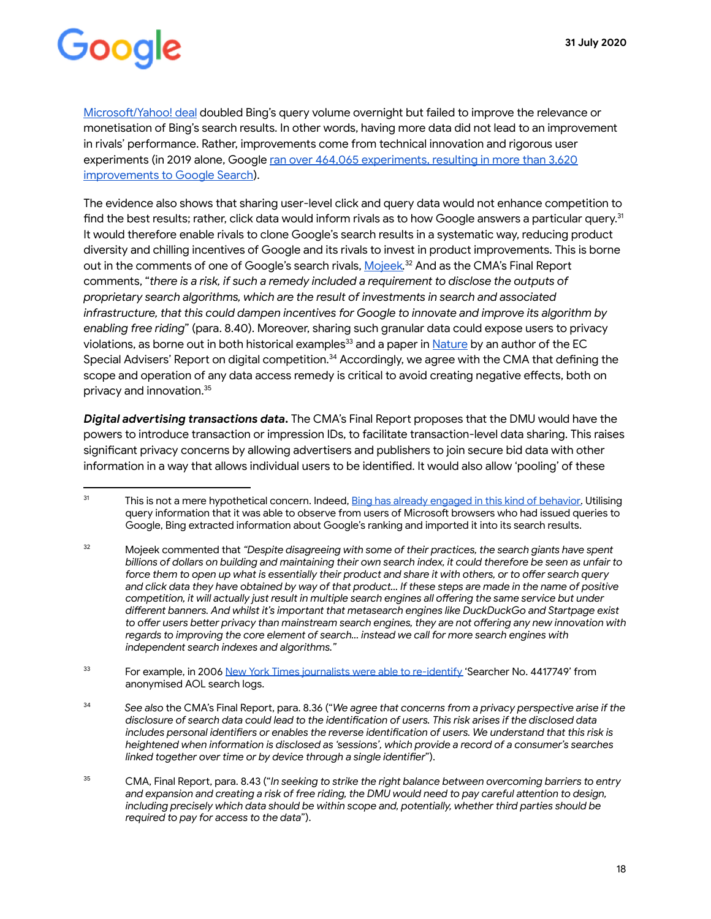Microsoft/Yahoo! deal doubled Bing's query volume overnight but failed to improve the relevance or monetisation of Bing's search results. In other words, having more data did not lead to an improvement in rivals' performance. Rather, improvements come from technical innovation and rigorous user experiments (in 2019 alone, Google [ran over 464,065 experiments, resulting in more than 3,620](https://www.google.com/search/howsearchworks/mission/users/)  [improvements to Google Search](https://www.google.com/search/howsearchworks/mission/users/)).

The evidence also shows that sharing user-level click and query data would not enhance competition to find the best results; rather, click data would inform rivals as to how Google answers a particular query.<sup>31</sup> It would therefore enable rivals to clone Google's search results in a systematic way, reducing product diversity and chilling incentives of Google and its rivals to invest in product improvements. This is borne out in the comments of one of Google's search rivals, [Mojeek](https://assets.publishing.service.gov.uk/media/5e8c8808e90e0707799498da/200212_Mojeek_Interim_Report_Response.pdf).<sup>32</sup> And as the CMA's Final Report comments, "there is a risk, if such a remedy included a requirement to disclose the outputs of *proprietary search algorithms, which are the result of investments in search and associated infrastructure, that this could dampen incentives for Google to innovate and improve its algorithm by enabling free riding* " (para. 8.40). Moreover, sharing such granular data could expose users to privacy violations, as borne out in both historical examples<sup>33</sup> and a paper in [Nature](https://www.nature.com/articles/s41467-019-10933-3) by an author of the EC Special Advisers' Report on digital competition.<sup>34</sup> Accordingly, we agree with the CMA that defining the scope and operation of any data access remedy is critical to avoid creating negative effects, both on privacy and innovation.<sup>35</sup>

**Digital advertising transactions data.** The CMA's Final Report proposes that the DMU would have the powers to introduce transaction or impression IDs, to facilitate transaction-level data sharing. This raises significant privacy concerns by allowing advertisers and publishers to join secure bid data with other information in a way that allows individual users to be identified. It would also allow 'pooling' of these

<sup>&</sup>lt;sup>31</sup> This is not a mere hypothetical concern. Indeed, [Bing has already engaged in this kind of behavior](https://googleblog.blogspot.com/2011/02/microsofts-bing-uses-google-search.html). Utilising query information that it was able to observe from users of Microsoft browsers who had issued queries to Google, Bing extracted information about Google's ranking and imported it into its search results.

<sup>32</sup> Mojeek commented that *"Despite disagreeing with some of their practices, the search giants have spent billions of dollars on building and maintaining their own search index, it could therefore be seen as unfair to force them to open up what is essentially their product and share it with others, or to offer search query and click data they have obtained by way of that product… If these steps are made in the name of positive competition, it will actually just result in multiple search engines all offering the same service but under* different banners. And whilst it's important that metasearch engines like DuckDuckGo and Startpage exist to offer users better privacy than mainstream search engines, they are not offering any new innovation with *regards to improving the core element of search… instead we call for more search engines with independent search indexes and algorithms."* 

<sup>&</sup>lt;sup>33</sup> For example, in 2006 [New York Times journalists were able to re-identify](https://www.nytimes.com/2006/08/09/technology/09aol.html) 'Searcher No. 4417749' from anonymised AOL search logs.

<sup>&</sup>lt;sup>34</sup> See also the CMA's Final Report, para. 8.36 ("We agree that concerns from a privacy perspective arise if the disclosure of search data could lead to the identification of users. This risk arises if the disclosed data includes personal identifiers or enables the reverse identification of users. We understand that this risk is *heightened when information is disclosed as 'sessions', which provide a record of a consumer's searches*  linked together over time or by device through a single identifier").

 $35$  CMA, Final Report, para. 8.43 ("In seeking to strike the right balance between overcoming barriers to entry and expansion and creating a risk of free riding, the DMU would need to pay careful attention to design, *including precisely which data should be within scope and, potentially, whether third parties should be required to pay for access to the data* ").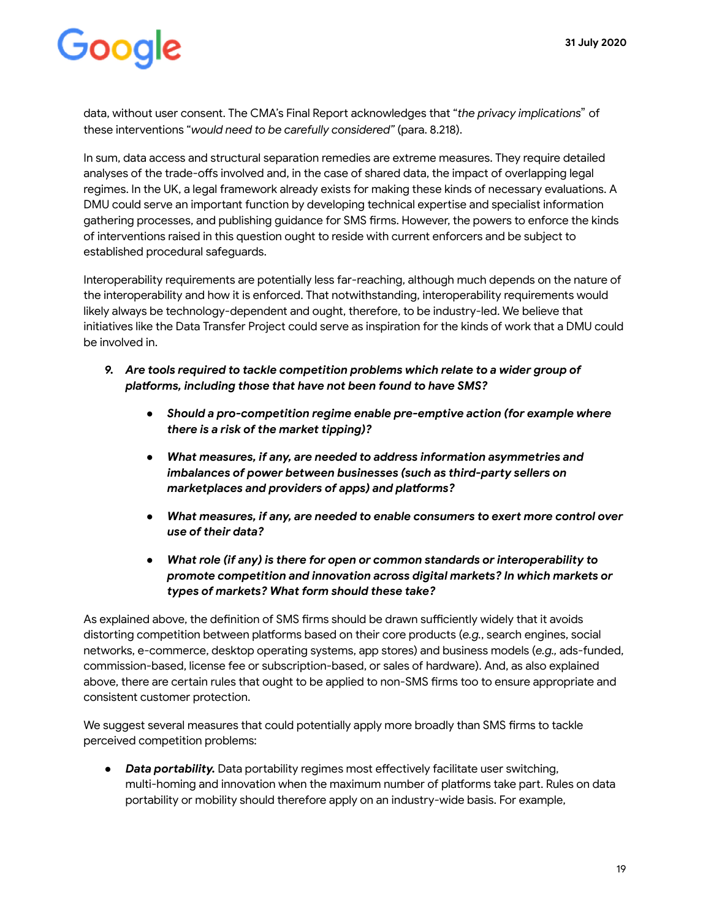data, without user consent. The CMA's Final Report acknowledges that "*the privacy implications*" of these interventions " *would need to be carefully considered"* (para. 8.218).

In sum, data access and structural separation remedies are extreme measures. They require detailed analyses of the trade-offs involved and, in the case of shared data, the impact of overlapping legal regimes. In the UK, a legal framework already exists for making these kinds of necessary evaluations. A DMU could serve an important function by developing technical expertise and specialist information gathering processes, and publishing quidance for SMS firms. However, the powers to enforce the kinds of interventions raised in this question ought to reside with current enforcers and be subject to established procedural safeguards.

Interoperability requirements are potentially less far-reaching, although much depends on the nature of the interoperability and how it is enforced. That notwithstanding, interoperability requirements would likely always be technology-dependent and ought, therefore, to be industry-led. We believe that initiatives like the Data Transfer Project could serve as inspiration for the kinds of work that a DMU could be involved in.

- *9. Are tools required to tackle competition problems which relate to a wider group of*  platforms, including those that have not been found to have SMS?
	- *● Should a pro-competition regime enable pre-emptive action (for example where there is a risk of the market tipping)?*
	- *● What measures, if any, are needed to address information asymmetries and imbalances of power between businesses (such as third-party sellers on* marketplaces and providers of apps) and platforms?
	- **•** *What measures, if any, are needed to enable consumers to exert more control over use of their data?*
	- *● What role (if any) is there for open or common standards or interoperability to promote competition and innovation across digital markets? In which markets or types of markets? What form should these take?*

As explained above, the definition of SMS firms should be drawn sufficiently widely that it avoids distorting competition between platforms based on their core products (e.g., search engines, social networks, e-commerce, desktop operating systems, app stores) and business models ( *e.g.,* ads-funded, commission-based, license fee or subscription-based, or sales of hardware). And, as also explained above, there are certain rules that ought to be applied to non-SMS firms too to ensure appropriate and consistent customer protection.

We suggest several measures that could potentially apply more broadly than SMS firms to tackle perceived competition problems:

• *Data portability*. Data portability regimes most effectively facilitate user switching, multi-homing and innovation when the maximum number of platforms take part. Rules on data portability or mobility should therefore apply on an industry-wide basis. For example,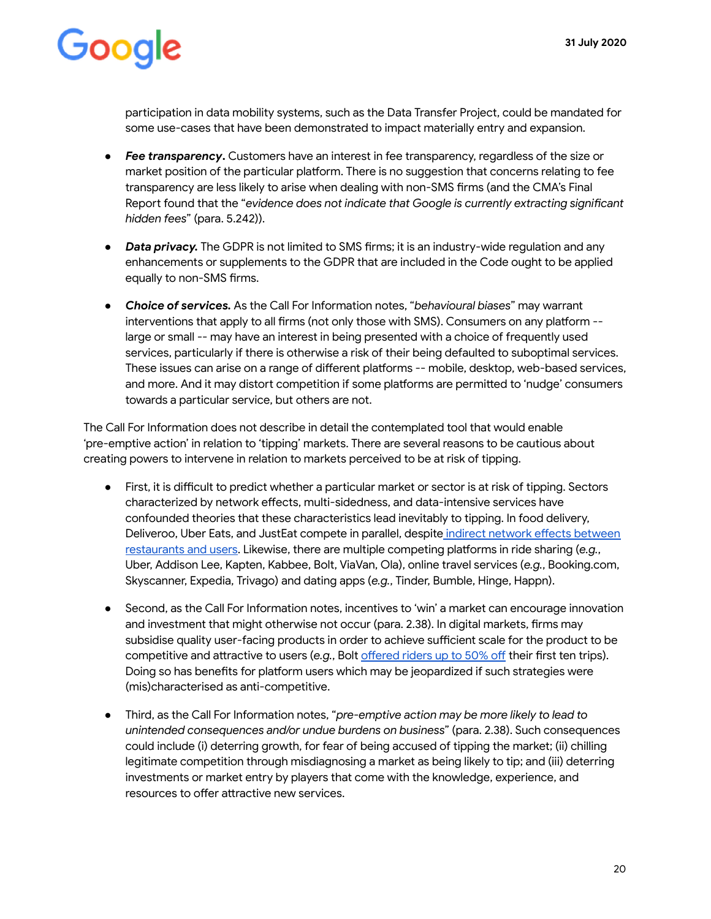participation in data mobility systems, such as the Data Transfer Project, could be mandated for some use-cases that have been demonstrated to impact materially entry and expansion.

- *● Fee transparency* **.** Customers have an interest in fee transparency, regardless of the size or market position of the particular platform. There is no suggestion that concerns relating to fee transparency are less likely to arise when dealing with non-SMS firms (and the CMA's Final Report found that the "evidence does not indicate that Google is currently extracting significant *hidden fees* " (para. 5.242)).
- *Data privacy*. The GDPR is not limited to SMS firms; it is an industry-wide requlation and any enhancements or supplements to the GDPR that are included in the Code ought to be applied equally to non-SMS firms.
- *● Choice of services.* As the Call For Information notes, " *behavioural biases* " may warrant interventions that apply to all firms (not only those with SMS). Consumers on any platform -large or small -- may have an interest in being presented with a choice of frequently used services, particularly if there is otherwise a risk of their being defaulted to suboptimal services. These issues can arise on a range of different platforms -- mobile, desktop, web-based services, and more. And it may distort competition if some platforms are permitted to 'nudge' consumers towards a particular service, but others are not.

The Call For Information does not describe in detail the contemplated tool that would enable 'pre-emptive action' in relation to 'tipping' markets. There are several reasons to be cautious about creating powers to intervene in relation to markets perceived to be at risk of tipping.

- First, it is difficult to predict whether a particular market or sector is at risk of tipping. Sectors characterized by network effects, multi-sidedness, and data-intensive services have confounded theories that these characteristics lead inevitably to tipping. In food delivery, Deliveroo, Uber Eats, and JustEat compete in parallel, despite indirect network effects between restaurants and users. Likewise, there are multiple competing platforms in ride sharing (e.g., Uber, Addison Lee, Kapten, Kabbee, Bolt, ViaVan, Ola), online travel services ( *e.g.* , Booking.com, Skyscanner, Expedia, Trivago) and dating apps (e.g., Tinder, Bumble, Hinge, Happn).
- Second, as the Call For Information notes, incentives to 'win' a market can encourage innovation and investment that might otherwise not occur (para. 2.38). In digital markets, firms may subsidise quality user-facing products in order to achieve sufficient scale for the product to be competitive and attractive to users (e.g., Bolt offered riders up to 50% off their first ten trips). Doing so has benefits for platform users which may be jeopardized if such strategies were (mis)characterised as anti-competitive.
- Third, as the Call For Information notes, " *pre-emptive action may be more likely to lead to unintended consequences and/or undue burdens on business* " (para. 2.38). Such consequences could include (i) deterring growth, for fear of being accused of tipping the market; (ii) chilling legitimate competition through misdiagnosing a market as being likely to tip; and (iii) deterring investments or market entry by players that come with the knowledge, experience, and resources to offer attractive new services.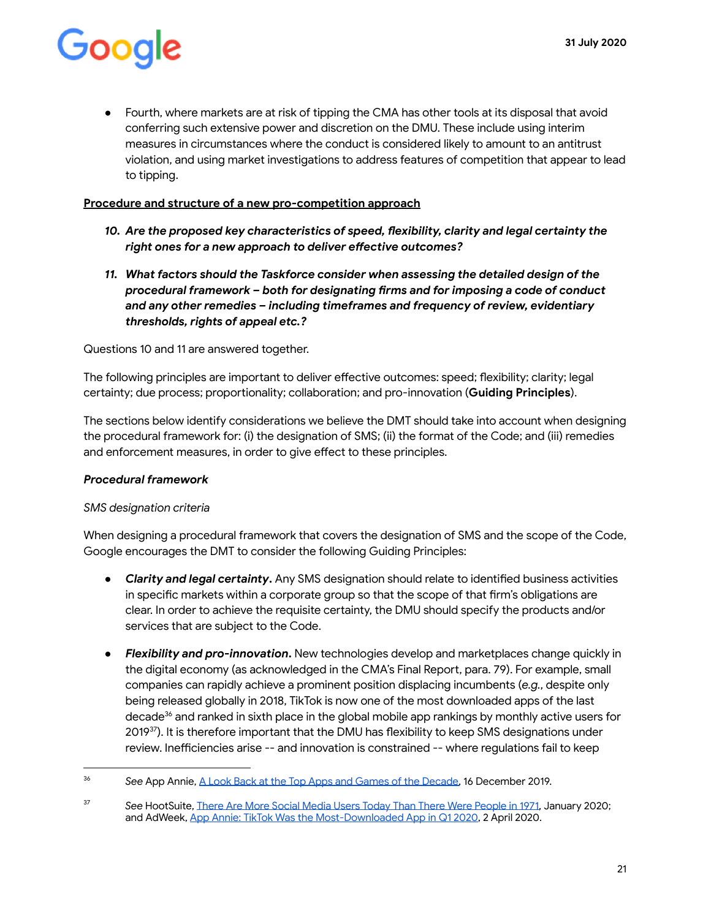• Fourth, where markets are at risk of tipping the CMA has other tools at its disposal that avoid conferring such extensive power and discretion on the DMU. These include using interim measures in circumstances where the conduct is considered likely to amount to an antitrust violation, and using market investigations to address features of competition that appear to lead to tipping.

#### **Procedure and structure of a new pro-competition approach**

- 10. Are the proposed key characteristics of speed, flexibility, clarity and legal certainty the right ones for a new approach to deliver effective outcomes?
- *11. What factors should the Taskforce consider when assessing the detailed design of the procedural framework – both for designating rms and for imposing a code of conduct and any other remedies – including timeframes and frequency of review, evidentiary thresholds, rights of appeal etc.?*

Questions 10 and 11 are answered together.

The following principles are important to deliver effective outcomes: speed; flexibility; clarity; legal certainty; due process; proportionality; collaboration; and pro-innovation (**Guiding Principles**).

The sections below identify considerations we believe the DMT should take into account when designing the procedural framework for: (i) the designation of SMS; (ii) the format of the Code; and (iii) remedies and enforcement measures, in order to give effect to these principles.

#### *Procedural framework*

#### *SMS designation criteria*

When designing a procedural framework that covers the designation of SMS and the scope of the Code, Google encourages the DMT to consider the following Guiding Principles:

- **Clarity and legal certainty.** Any SMS designation should relate to identified business activities in specific markets within a corporate group so that the scope of that firm's obligations are clear. In order to achieve the requisite certainty, the DMU should specify the products and/or services that are subject to the Code.
- *Flexibility and pro-innovation* **.** New technologies develop and marketplaces change quickly in the digital economy (as acknowledged in the CMA's Final Report, para. 79). For example, small companies can rapidly achieve a prominent position displacing incumbents ( *e.g.* , despite only being released globally in 2018, TikTok is now one of the most downloaded apps of the last decade<sup>36</sup> and ranked in sixth place in the global mobile app rankings by monthly active users for 2019<sup>37</sup>). It is therefore important that the DMU has flexibility to keep SMS designations under review. Inefficiencies arise -- and innovation is constrained -- where regulations fail to keep

<sup>36</sup> *See* App Annie, [A Look Back at the Top Apps and Games of the Decade ,](https://www.appannie.com/en/insights/market-data/a-look-back-at-the-top-apps-games-of-the-decade/) 16 December 2019.

<sup>37</sup> *See* HootSuite, [There Are More Social Media Users Today Than There Were People in 1971](https://blog.hootsuite.com/simon-kemp-social-media/) , January 2020; and AdWeek, App Annie: TikTok Was the Most-Downloaded App in Q12020, 2 April 2020.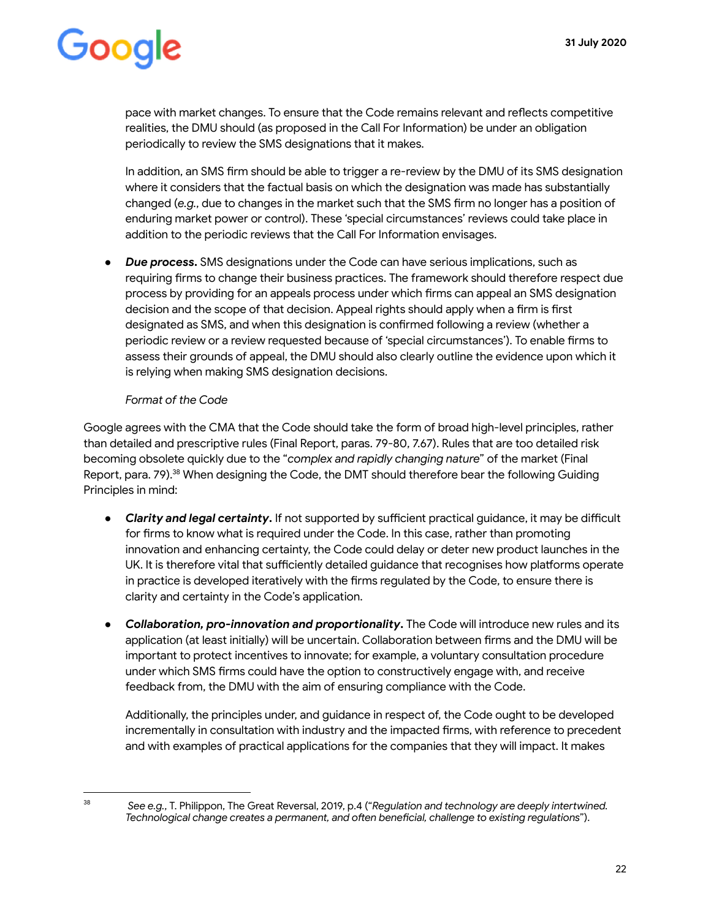pace with market changes. To ensure that the Code remains relevant and reflects competitive realities, the DMU should (as proposed in the Call For Information) be under an obligation periodically to review the SMS designations that it makes.

In addition, an SMS firm should be able to trigger a re-review by the DMU of its SMS designation where it considers that the factual basis on which the designation was made has substantially changed (e.g., due to changes in the market such that the SMS firm no longer has a position of enduring market power or control). These 'special circumstances' reviews could take place in addition to the periodic reviews that the Call For Information envisages.

● *Due process* **.** SMS designations under the Code can have serious implications, such as requiring firms to change their business practices. The framework should therefore respect due process by providing for an appeals process under which firms can appeal an SMS designation decision and the scope of that decision. Appeal rights should apply when a firm is first designated as SMS, and when this designation is confirmed following a review (whether a periodic review or a review requested because of 'special circumstances'). To enable firms to assess their grounds of appeal, the DMU should also clearly outline the evidence upon which it is relying when making SMS designation decisions.

#### *Format of the Code*

Google agrees with the CMA that the Code should take the form of broad high-level principles, rather than detailed and prescriptive rules (Final Report, paras. 79-80, 7.67). Rules that are too detailed risk becoming obsolete quickly due to the " *complex and rapidly changing nature* " of the market (Final Report. para. 79).<sup>38</sup> When designing the Code, the DMT should therefore bear the following Guiding Principles in mind:

- Clarity and legal certainty. If not supported by sufficient practical quidance, it may be difficult for firms to know what is required under the Code. In this case, rather than promoting innovation and enhancing certainty, the Code could delay or deter new product launches in the UK. It is therefore vital that sufficiently detailed guidance that recognises how platforms operate in practice is developed iteratively with the firms regulated by the Code, to ensure there is clarity and certainty in the Code's application.
- Collaboration, pro-innovation and proportionality. The Code will introduce new rules and its application (at least initially) will be uncertain. Collaboration between firms and the DMU will be important to protect incentives to innovate; for example, a voluntary consultation procedure under which SMS firms could have the option to constructively engage with, and receive feedback from, the DMU with the aim of ensuring compliance with the Code.

Additionally, the principles under, and guidance in respect of, the Code ought to be developed incrementally in consultation with industry and the impacted firms, with reference to precedent and with examples of practical applications for the companies that they will impact. It makes

<sup>38</sup>

*See e.g.* , T. Philippon, The Great Reversal, 2019, p.4 (" *Regulation and technology are deeply intewined.*  Technological change creates a permanent, and often beneficial, challenge to existing regulations").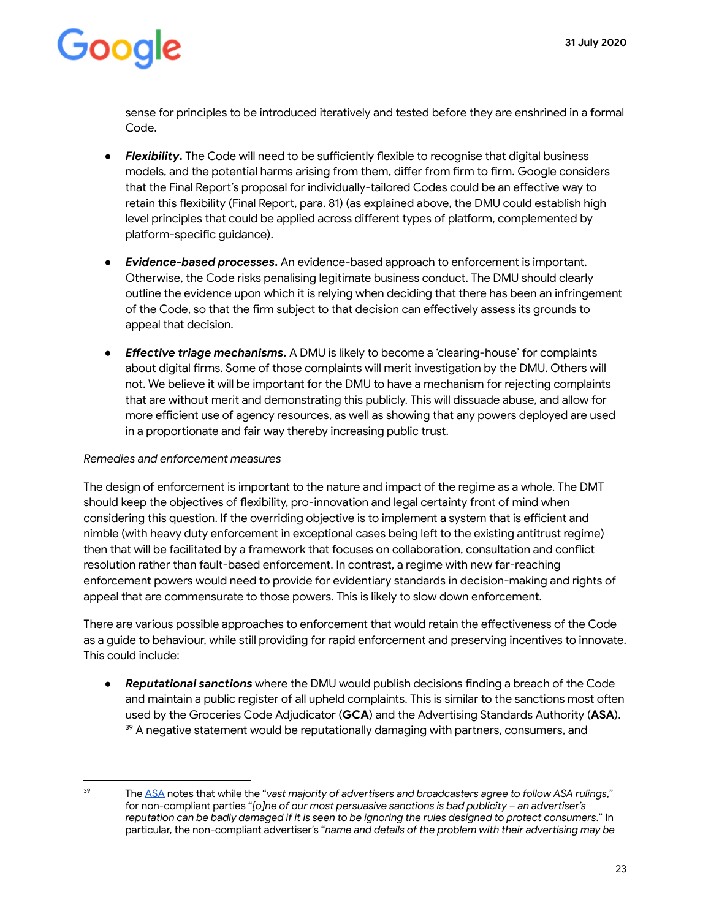sense for principles to be introduced iteratively and tested before they are enshrined in a formal Code.

- Flexibility. The Code will need to be sufficiently flexible to recognise that digital business models, and the potential harms arising from them, differ from firm to firm. Google considers that the Final Report's proposal for individually-tailored Codes could be an effective way to retain this flexibility (Final Report, para. 81) (as explained above, the DMU could establish high level principles that could be applied across different types of platform, complemented by platform-specific guidance).
- **Evidence-based processes.** An evidence-based approach to enforcement is important. Otherwise, the Code risks penalising legitimate business conduct. The DMU should clearly outline the evidence upon which it is relying when deciding that there has been an infringement of the Code, so that the firm subject to that decision can effectively assess its grounds to appeal that decision.
- *Effective triage mechanisms***.** A DMU is likely to become a 'clearing-house' for complaints about digital firms. Some of those complaints will merit investigation by the DMU. Others will not. We believe it will be important for the DMU to have a mechanism for rejecting complaints that are without merit and demonstrating this publicly. This will dissuade abuse, and allow for more efficient use of agency resources, as well as showing that any powers deployed are used in a proportionate and fair way thereby increasing public trust.

#### *Remedies and enforcement measures*

The design of enforcement is important to the nature and impact of the regime as a whole. The DMT should keep the objectives of flexibility, pro-innovation and legal certainty front of mind when considering this question. If the overriding objective is to implement a system that is efficient and nimble (with heavy duty enforcement in exceptional cases being left to the existing antitrust regime) then that will be facilitated by a framework that focuses on collaboration, consultation and conflict resolution rather than fault-based enforcement. In contrast, a regime with new far-reaching enforcement powers would need to provide for evidentiary standards in decision-making and rights of appeal that are commensurate to those powers. This is likely to slow down enforcement.

There are various possible approaches to enforcement that would retain the effectiveness of the Code as a guide to behaviour, while still providing for rapid enforcement and preserving incentives to innovate. This could include:

Reputational sanctions where the DMU would publish decisions finding a breach of the Code and maintain a public register of all upheld complaints. This is similar to the sanctions most often used by the Groceries Code Adjudicator ( **GCA** ) and the Adveising Standards Authority ( **ASA** ).  $39$  A negative statement would be reputationally damaging with partners, consumers, and

<sup>&</sup>lt;sup>39</sup> The [ASA](https://www.asa.org.uk/codes-and-rulings/sanctions.html) notes that while the "vast majority of advertisers and broadcasters agree to follow ASA rulings," for non-compliant parties " *[o]ne of our most persuasive sanctions is bad publicity - an advertiser's reputation can be badly damaged if it is seen to be ignoring the rules designed to protect consumers* ." In particular, the non-compliant advertiser's "name and details of the problem with their advertising may be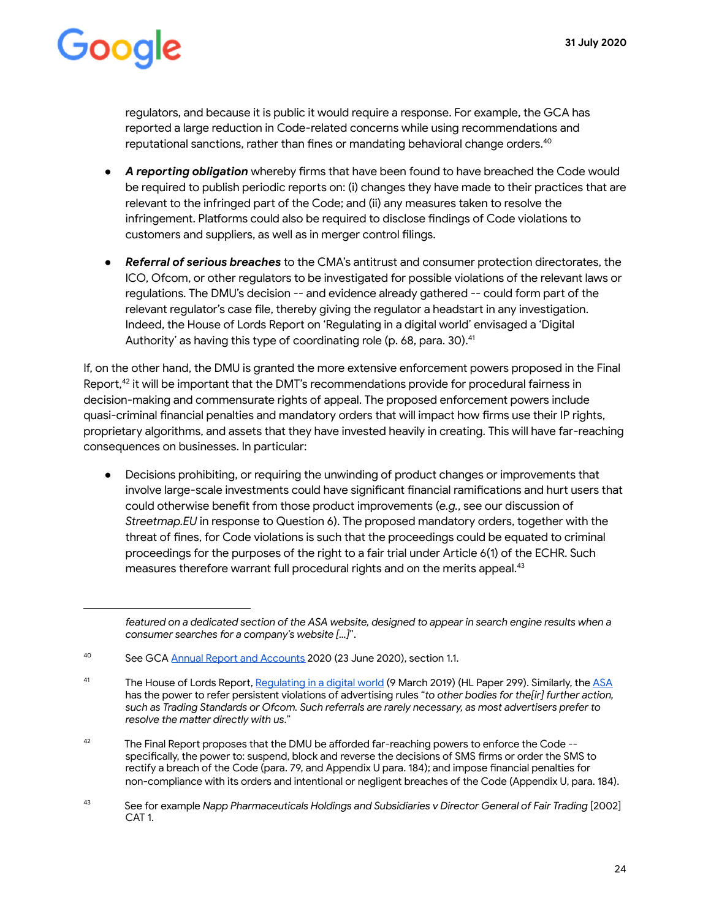regulators, and because it is public it would require a response. For example, the GCA has reported a large reduction in Code-related concerns while using recommendations and reputational sanctions, rather than fines or mandating behavioral change orders.  $40$ 

- A reporting obligation whereby firms that have been found to have breached the Code would be required to publish periodic reports on: (i) changes they have made to their practices that are relevant to the infringed part of the Code; and (ii) any measures taken to resolve the infringement. Platforms could also be required to disclose findings of Code violations to customers and suppliers, as well as in merger control filings.
- *Referral of serious breaches* to the CMA's antitrust and consumer protection directorates, the ICO, Ofcom, or other regulators to be investigated for possible violations of the relevant laws or regulations. The DMU's decision -- and evidence already gathered -- could form part of the relevant regulator's case file, thereby giving the regulator a headstart in any investigation. Indeed, the House of Lords Report on 'Regulating in a digital world' envisaged a 'Digital Authority' as having this type of coordinating role (p. 68, para. 30). <sup>41</sup>

If, on the other hand, the DMU is granted the more extensive enforcement powers proposed in the Final Report, $42$  it will be important that the DMT's recommendations provide for procedural fairness in decision-making and commensurate rights of appeal. The proposed enforcement powers include quasi-criminal financial penalties and mandatory orders that will impact how firms use their IP rights, proprietary algorithms, and assets that they have invested heavily in creating. This will have far-reaching consequences on businesses. In particular:

Decisions prohibiting, or requiring the unwinding of product changes or improvements that involve large-scale investments could have significant financial ramifications and hurt users that could otherwise benefit from those product improvements (e.g., see our discussion of *Streetmap.EU* in response to Question 6). The proposed mandatory orders, together with the threat of fines, for Code violations is such that the proceedings could be equated to criminal proceedings for the purposes of the right to a fair trial under Article 6(1) of the ECHR. Such measures therefore warrant full procedural rights and on the merits appeal.<sup>43</sup>

featured on a dedicated section of the ASA website, designed to appear in search engine results when a *consumer searches for a company's website [...]* ".

<sup>&</sup>lt;sup>40</sup> See GCA Annual Report and Accounts 2020 (23 June 2020), section 1.1.

<sup>&</sup>lt;sup>41</sup> The House of Lords Report, [Regulating in a digital world](https://publications.parliament.uk/pa/ld201719/ldselect/ldcomuni/299/299.pdf) (9 March 2019) (HL Paper 299). Similarly, the ASA has the power to refer persistent violations of advertising rules "to other bodies for the[ir] further action, such as Trading Standards or Ofcom. Such referrals are rarely necessary, as most advertisers prefer to *resolve the matter directly with us."* 

 $42$  The Final Report proposes that the DMU be afforded far-reaching powers to enforce the Code -specifically, the power to: suspend, block and reverse the decisions of SMS firms or order the SMS to rectify a breach of the Code (para. 79, and Appendix U para. 184); and impose financial penalties for non-compliance with its orders and intentional or negligent breaches of the Code (Appendix U, para. 184).

<sup>&</sup>lt;sup>43</sup> See for example *Napp Pharmaceuticals Holdings and Subsidiaries v Director General of Fair Trading [2002]* CAT 1.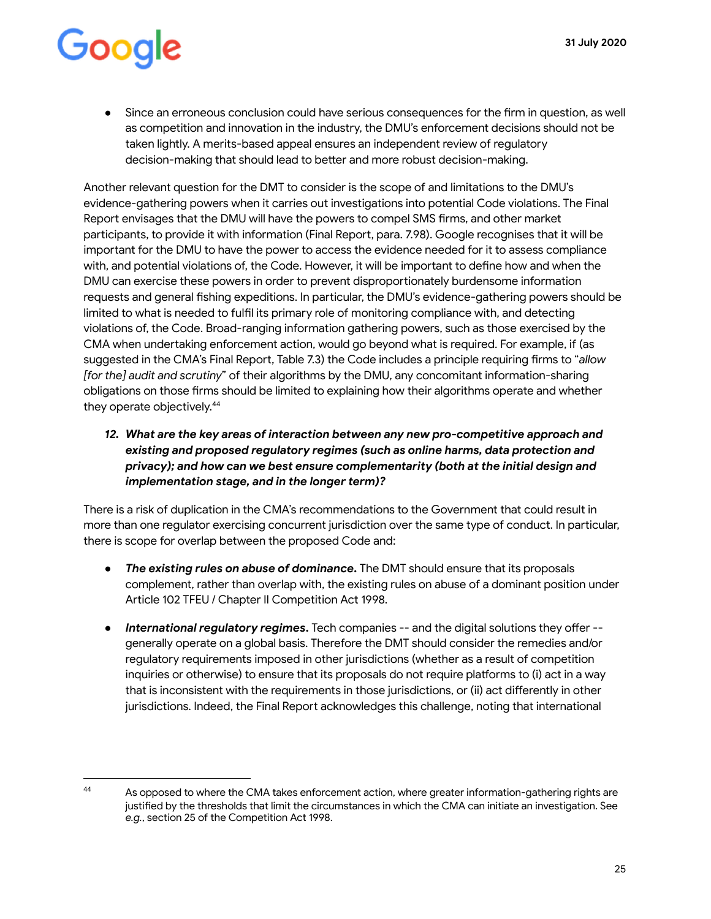• Since an erroneous conclusion could have serious consequences for the firm in question, as well as competition and innovation in the industry, the DMU's enforcement decisions should not be taken lightly. A merits-based appeal ensures an independent review of regulatory decision-making that should lead to better and more robust decision-making.

Another relevant question for the DMT to consider is the scope of and limitations to the DMU's evidence-gathering powers when it carries out investigations into potential Code violations. The Final Report envisages that the DMU will have the powers to compel SMS firms, and other market participants, to provide it with information (Final Report, para. 7.98). Google recognises that it will be important for the DMU to have the power to access the evidence needed for it to assess compliance with, and potential violations of, the Code. However, it will be important to define how and when the DMU can exercise these powers in order to prevent disproportionately burdensome information requests and general fishing expeditions. In particular, the DMU's evidence-gathering powers should be limited to what is needed to fulfil its primary role of monitoring compliance with, and detecting violations of, the Code. Broad-ranging information gathering powers, such as those exercised by the CMA when undertaking enforcement action, would go beyond what is required. For example, if (as suggested in the CMA's Final Report, Table 7.3) the Code includes a principle requiring firms to "allow *[for the] audit and scrutiny* " of their algorithms by the DMU, any concomitant information-sharing obligations on those firms should be limited to explaining how their algorithms operate and whether they operate objectively.<sup>44</sup>

*12. What are the key areas of interaction between any new pro-competitive approach and existing and proposed regulatory regimes (such as online harms, data protection and privacy); and how can we best ensure complementarity (both at the initial design and implementation stage, and in the longer term)?* 

There is a risk of duplication in the CMA's recommendations to the Government that could result in more than one regulator exercising concurrent jurisdiction over the same type of conduct. In particular, there is scope for overlap between the proposed Code and:

- **The existing rules on abuse of dominance.** The DMT should ensure that its proposals complement, rather than overlap with, the existing rules on abuse of a dominant position under Article 102 TFEU / Chapter II Competition Act 1998.
- **•** International regulatory regimes. Tech companies -- and the digital solutions they offer -generally operate on a global basis. Therefore the DMT should consider the remedies and/or regulatory requirements imposed in other jurisdictions (whether as a result of competition inquiries or otherwise) to ensure that its proposals do not require platforms to (i) act in a way that is inconsistent with the requirements in those jurisdictions, or (ii) act differently in other jurisdictions. Indeed, the Final Report acknowledges this challenge, noting that international

<sup>44</sup> As opposed to where the CMA takes enforcement action, where greater information-gathering rights are justified by the thresholds that limit the circumstances in which the CMA can initiate an investigation. See *e.g.* , section 25 of the Competition Act 1998.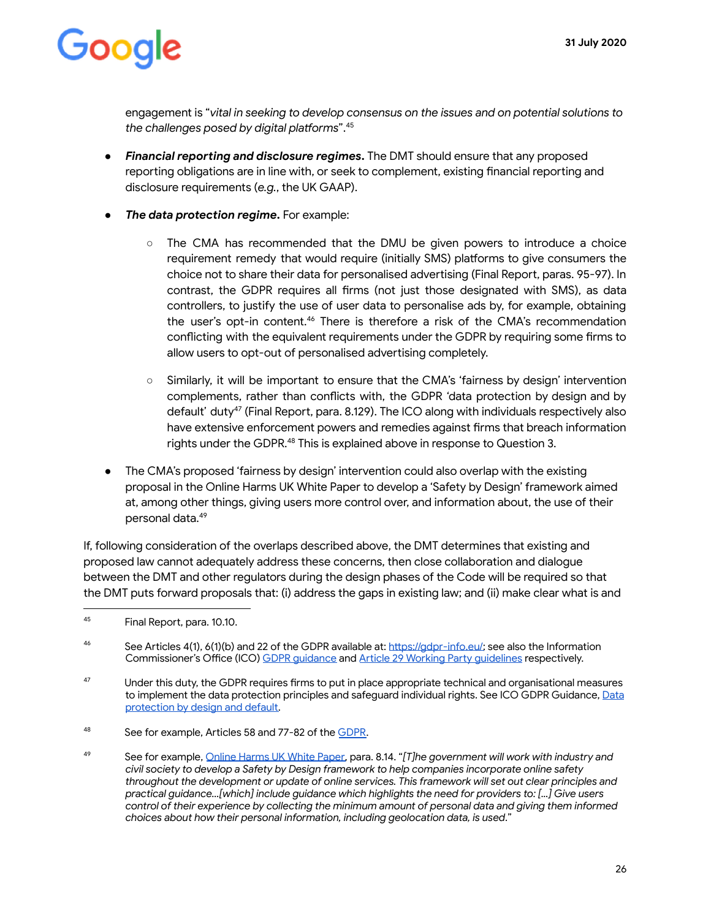engagement is " *vital in seeking to develop consensus on the issues and on potential solutions to*  the challenges posed by digital platforms".<sup>45</sup>

- **Financial reporting and disclosure regimes.** The DMT should ensure that any proposed reporting obligations are in line with, or seek to complement, existing financial reporting and disclosure requirements (e.g., the UK GAAP).
- *The data protection regime.* For example:
	- The CMA has recommended that the DMU be given powers to introduce a choice requirement remedy that would require (initially SMS) platforms to give consumers the choice not to share their data for personalised advertising (Final Report, paras. 95-97). In contrast, the GDPR requires all firms (not just those designated with SMS), as data controllers, to justify the use of user data to personalise ads by, for example, obtaining the user's opt-in content.<sup>46</sup> There is therefore a risk of the CMA's recommendation conflicting with the equivalent requirements under the GDPR by requiring some firms to allow users to opt-out of personalised advertising completely.
	- Similarly, it will be important to ensure that the CMA's 'fairness by design' intervention complements, rather than conflicts with, the GDPR 'data protection by design and by default' duty $47$  (Final Report, para. 8.129). The ICO along with individuals respectively also have extensive enforcement powers and remedies against firms that breach information rights under the GDPR.<sup>48</sup> This is explained above in response to Question 3.
- The CMA's proposed 'fairness by design' intervention could also overlap with the existing proposal in the Online Harms UK White Paper to develop a 'Safety by Design' framework aimed at, among other things, giving users more control over, and information about, the use of their personal data.<sup>49</sup>

If, following consideration of the overlaps described above, the DMT determines that existing and proposed law cannot adequately address these concerns, then close collaboration and dialogue between the DMT and other regulators during the design phases of the Code will be required so that the DMT puts forward proposals that: (i) address the gaps in existing law; and (ii) make clear what is and

<sup>46</sup> See Articles 4(1), 6(1)(b) and 22 of the GDPR available at: https://gdpr-info.eu/; see also the Information Commissioner's Office (ICO) GDPR quidance and Article 29 Working Party quidelines respectively.

- 48 See for example, Articles 58 and 77-82 of the [GDPR](https://gdpr-info.eu/).
- <sup>49</sup> See for example, [Online Harms UK White Paper](https://www.gov.uk/government/consultations/online-harms-white-paper) , para. 8.14. " *[T]he government will work with industry and civil society to develop a Safety by Design framework to help companies incorporate online safety throughout the development or update of online services. This framework will set out clear principles and practical guidance…[which] include guidance which highlights the need for providers to: [...] Give users control of their experience by collecting the minimum amount of personal data and giving them informed choices about how their personal information, including geolocation data, is used* ."

<sup>45</sup> Final Report, para. 10.10.

<sup>&</sup>lt;sup>47</sup> Under this duty, the GDPR requires firms to put in place appropriate technical and organisational measures to implement the data protection principles and safeguard individual rights. See ICO GDPR Guidance, Data protection by design and default.